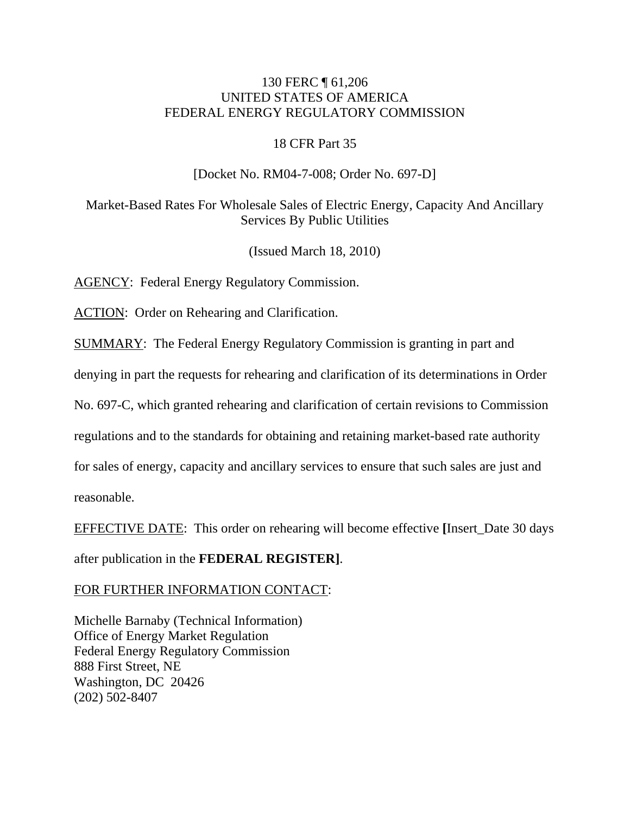# 130 FERC ¶ 61,206 UNITED STATES OF AMERICA FEDERAL ENERGY REGULATORY COMMISSION

## 18 CFR Part 35

## [Docket No. RM04-7-008; Order No. 697-D]

Market-Based Rates For Wholesale Sales of Electric Energy, Capacity And Ancillary Services By Public Utilities

(Issued March 18, 2010)

AGENCY: Federal Energy Regulatory Commission.

ACTION: Order on Rehearing and Clarification.

SUMMARY: The Federal Energy Regulatory Commission is granting in part and

denying in part the requests for rehearing and clarification of its determinations in Order

No. 697-C, which granted rehearing and clarification of certain revisions to Commission

regulations and to the standards for obtaining and retaining market-based rate authority

for sales of energy, capacity and ancillary services to ensure that such sales are just and

reasonable.

EFFECTIVE DATE: This order on rehearing will become effective **[**Insert\_Date 30 days

after publication in the **FEDERAL REGISTER]**.

FOR FURTHER INFORMATION CONTACT:

Michelle Barnaby (Technical Information) Office of Energy Market Regulation Federal Energy Regulatory Commission 888 First Street, NE Washington, DC 20426 (202) 502-8407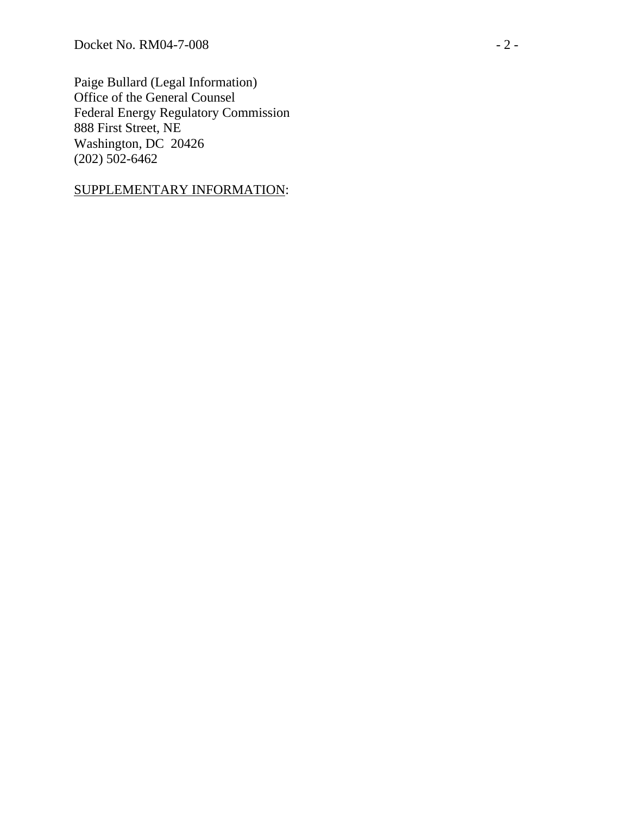Paige Bullard (Legal Information) Office of the General Counsel Federal Energy Regulatory Commission 888 First Street, NE Washington, DC 20426 (202) 502-6462

## SUPPLEMENTARY INFORMATION :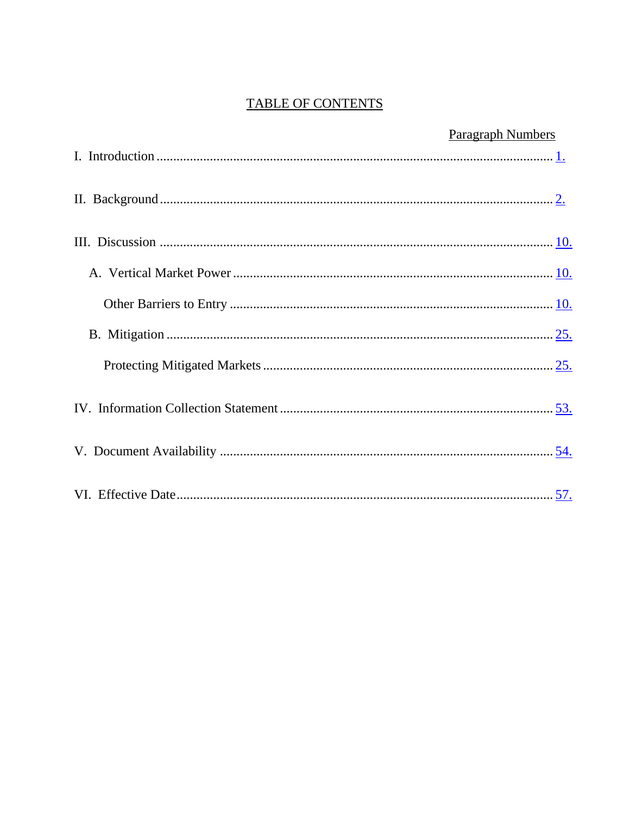# **TABLE OF CONTENTS**

| <b>Paragraph Numbers</b> |
|--------------------------|
|                          |
|                          |
|                          |
|                          |
|                          |
|                          |
|                          |
|                          |
|                          |
|                          |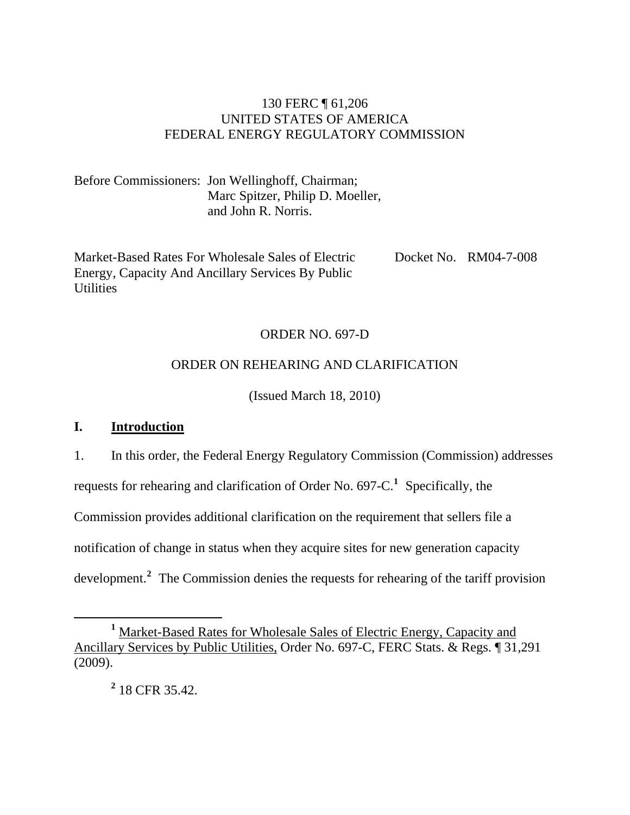# 130 FERC ¶ 61,206 UNITED STATES OF AMERICA FEDERAL ENERGY REGULATORY COMMISSION

Before Commissioners: Jon Wellinghoff, Chairman; Marc Spitzer, Philip D. Moeller, and John R. Norris.

Market-Based Rates For Wholesale Sales of Electric Energy, Capacity And Ancillary Services By Public **Utilities** Docket No. RM04-7-008

## ORDER NO. 697-D

# ORDER ON REHEARING AND CLARIFICATION

(Issued March 18, 2010)

# <span id="page-3-0"></span>**I. Introduction**

1. In this order, the Federal Energy Regulatory Commission (Commission) addresses requests for rehearing and clarification of Order No. 697-C.<sup>[1](#page-3-1)</sup> Specifically, the Commission provides additional clarification on the requirement that sellers file a notification of change in status when they acquire sites for new generation capacity development.<sup>[2](#page-3-2)</sup> The Commission denies the requests for rehearing of the tariff provision

**2** 18 CFR 35.42.

<span id="page-3-2"></span><span id="page-3-1"></span>**<sup>1</sup>** Market-Based Rates for Wholesale Sales of Electric Energy, Capacity and Ancillary Services by Public Utilities, Order No. 697-C, FERC Stats. & Regs. ¶ 31,291 (2009).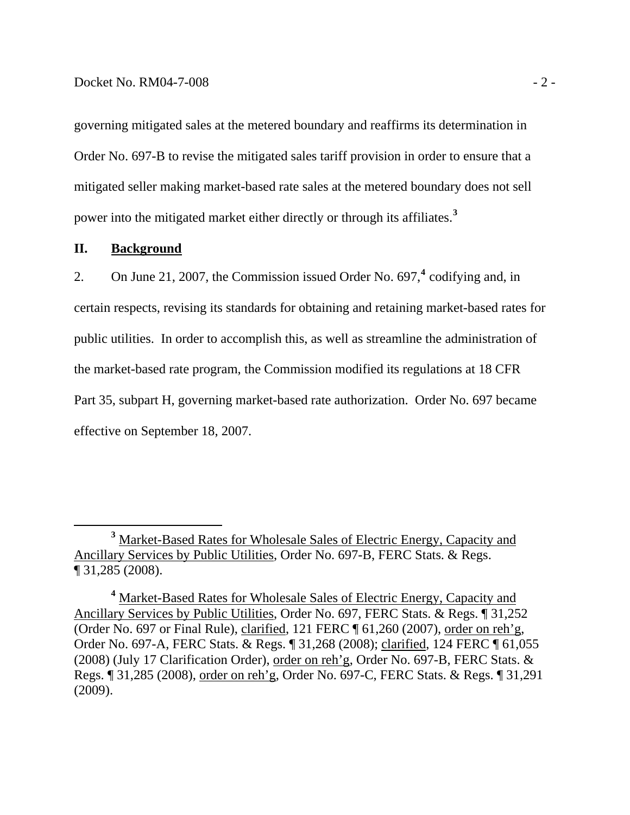governing mitigated sales at the metered boundary and reaffirms its determination in Order No. 697-B to revise the mitigated sales tariff provision in order to ensure that a mitigated seller making market-based rate sales at the metered boundary does not sell power into the mitigated market either directly or through its affiliates.**<sup>3</sup>**

### <span id="page-4-0"></span>**II. Background**

2. On June 21, 2007, the Commission issued Order No. 697,<sup>[4](#page-4-1)</sup> codifying and, in certain respects, revising its standards for obtaining and retaining market-based rates for public utilities. In order to accomplish this, as well as streamline the administration of the market-based rate program, the Commission modified its regulations at 18 CFR Part 35, subpart H, governing market-based rate authorization. Order No. 697 became effective on September 18, 2007.

<sup>&</sup>lt;sup>3</sup> Market-Based Rates for Wholesale Sales of Electric Energy, Capacity and Ancillary Services by Public Utilities, Order No. 697-B, FERC Stats. & Regs. ¶ 31,285 (2008).

<span id="page-4-1"></span>**<sup>4</sup>** Market-Based Rates for Wholesale Sales of Electric Energy, Capacity and Ancillary Services by Public Utilities, Order No. 697, FERC Stats. & Regs. ¶ 31,252 (Order No. 697 or Final Rule), clarified, 121 FERC ¶ 61,260 (2007), order on reh'g, Order No. 697-A, FERC Stats. & Regs. ¶ 31,268 (2008); clarified, 124 FERC ¶ 61,055 (2008) (July 17 Clarification Order), order on reh'g, Order No. 697-B, FERC Stats. & Regs. ¶ 31,285 (2008), order on reh'g, Order No. 697-C, FERC Stats. & Regs. ¶ 31,291 (2009).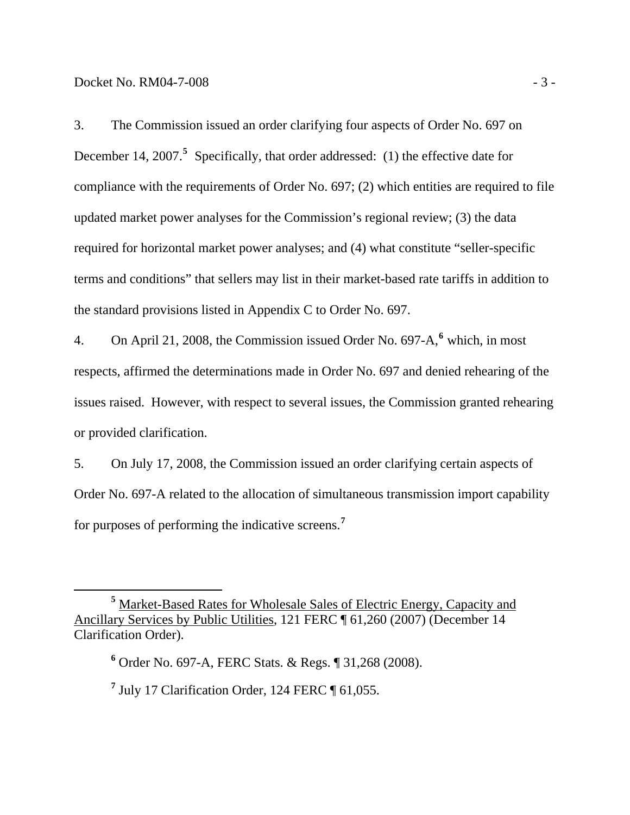$\overline{a}$ 

3. The Commission issued an order clarifying four aspects of Order No. 697 on December 14, 2007.<sup>[5](#page-5-0)</sup> Specifically, that order addressed: (1) the effective date for compliance with the requirements of Order No. 697; (2) which entities are required to file updated market power analyses for the Commission's regional review; (3) the data required for horizontal market power analyses; and (4) what constitute "seller-specific terms and conditions" that sellers may list in their market-based rate tariffs in addition to the standard provisions listed in Appendix C to Order No. 697.

4. On April 21, 2008, the Commission issued Order No. [6](#page-5-1)97-A, which, in most respects, affirmed the determinations made in Order No. 697 and denied rehearing of the issues raised. However, with respect to several issues, the Commission granted rehearing or provided clarification.

5. On July 17, 2008, the Commission issued an order clarifying certain aspects of Order No. 697-A related to the allocation of simultaneous transmission import capability for purposes of performing the indicative screens.**[7](#page-5-2)**

<span id="page-5-1"></span><span id="page-5-0"></span>**<sup>5</sup>** Market-Based Rates for Wholesale Sales of Electric Energy, Capacity and Ancillary Services by Public Utilities, 121 FERC ¶ 61,260 (2007) (December 14 Clarification Order).

**<sup>6</sup>** Order No. 697-A, FERC Stats. & Regs. ¶ 31,268 (2008).

<span id="page-5-2"></span><sup>&</sup>lt;sup>7</sup> July 17 Clarification Order, 124 FERC ¶ 61,055.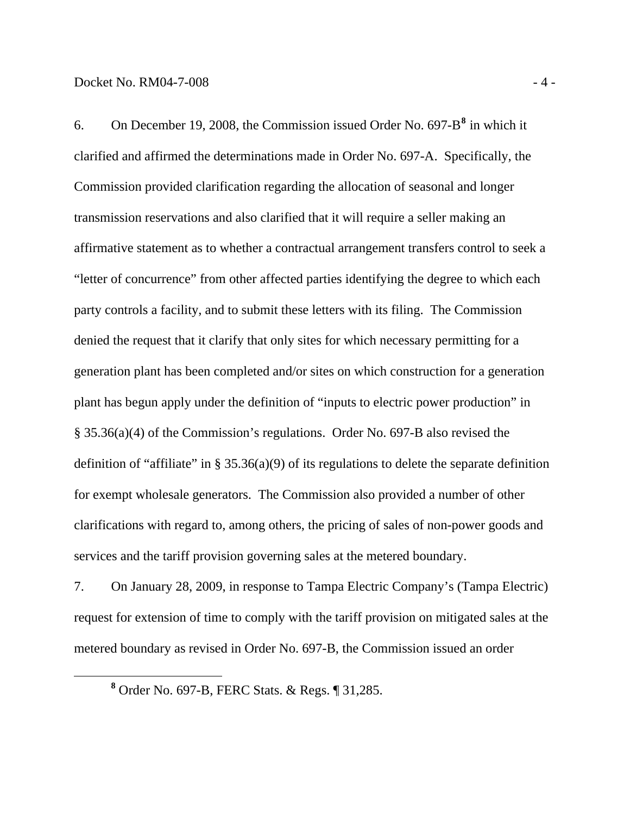6. On December 19, 2008, the Commission issued Order No. 697-B**[8](#page-6-0)** in which it clarified and affirmed the determinations made in Order No. 697-A. Specifically, the Commission provided clarification regarding the allocation of seasonal and longer transmission reservations and also clarified that it will require a seller making an affirmative statement as to whether a contractual arrangement transfers control to seek a "letter of concurrence" from other affected parties identifying the degree to which each party controls a facility, and to submit these letters with its filing. The Commission denied the request that it clarify that only sites for which necessary permitting for a generation plant has been completed and/or sites on which construction for a generation plant has begun apply under the definition of "inputs to electric power production" in § 35.36(a)(4) of the Commission's regulations. Order No. 697-B also revised the definition of "affiliate" in  $\S 35.36(a)(9)$  of its regulations to delete the separate definition for exempt wholesale generators. The Commission also provided a number of other clarifications with regard to, among others, the pricing of sales of non-power goods and services and the tariff provision governing sales at the metered boundary.

7. On January 28, 2009, in response to Tampa Electric Company's (Tampa Electric) request for extension of time to comply with the tariff provision on mitigated sales at the metered boundary as revised in Order No. 697-B, the Commission issued an order

<span id="page-6-0"></span>

**<sup>8</sup>** Order No. 697-B, FERC Stats. & Regs. ¶ 31,285.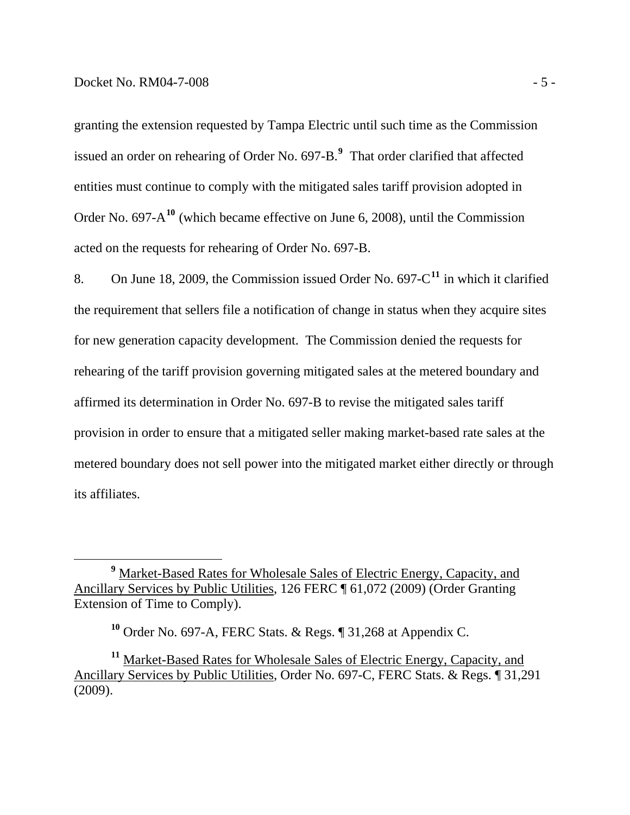acted on the requests for rehearing of Order No. 697-B. granting the extension requested by Tampa Electric until such time as the Commission issued an order on rehearing of Order No. 697-B.**<sup>9</sup>** That order clarified that affected entities must continue to comply with the mitigated sales tariff provision adopted in Order No. 697-A**<sup>10</sup>** (which became effective on June 6, 2008), until the Commission

8. On June 18, 2009, the Commission issued Order No. 697-C**[11](#page-7-0)** in which it clarified the requirement that sellers file a notification of change in status when they acquire sites for new generation capacity development. The Commission denied the requests for rehearing of the tariff provision governing mitigated sales at the metered boundary and affirmed its determination in Order No. 697-B to revise the mitigated sales tariff provision in order to ensure that a mitigated seller making market-based rate sales at the metered boundary does not sell power into the mitigated market either directly or through its affiliates.

**<sup>9</sup>** Market-Based Rates for Wholesale Sales of Electric Energy, Capacity, and Ancillary Services by Public Utilities, 126 FERC ¶ 61,072 (2009) (Order Granting Extension of Time to Comply).

**<sup>10</sup>** Order No. 697-A, FERC Stats. & Regs. ¶ 31,268 at Appendix C.

<span id="page-7-0"></span>**<sup>11</sup>** Market-Based Rates for Wholesale Sales of Electric Energy, Capacity, and Ancillary Services by Public Utilities, Order No. 697-C, FERC Stats. & Regs. ¶ 31,291 (2009).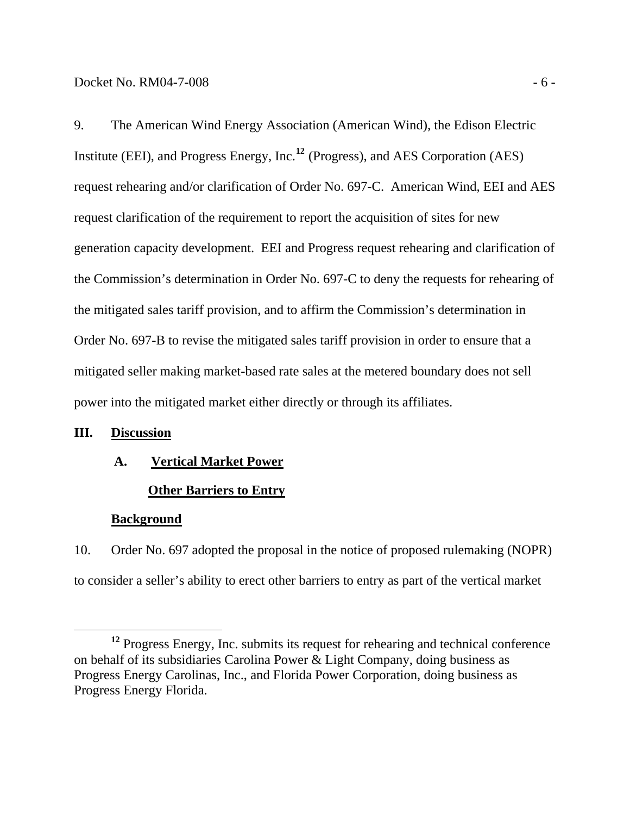9. The American Wind Energy Association (American Wind), the Edison Electric Institute (EEI), and Progress Energy, Inc.**[12](#page-8-3)** (Progress), and AES Corporation (AES) request rehearing and/or clarification of Order No. 697-C. American Wind, EEI and AES request clarification of the requirement to report the acquisition of sites for new generation capacity development. EEI and Progress request rehearing and clarification of the Commission's determination in Order No. 697-C to deny the requests for rehearing of the mitigated sales tariff provision, and to affirm the Commission's determination in Order No. 697-B to revise the mitigated sales tariff provision in order to ensure that a mitigated seller making market-based rate sales at the metered boundary does not sell power into the mitigated market either directly or through its affiliates.

#### <span id="page-8-2"></span><span id="page-8-1"></span><span id="page-8-0"></span>**III. Discussion**

#### **A. Vertical Market Power**

#### **Other Barriers to Entry**

#### **Background**

10. Order No. 697 adopted the proposal in the notice of proposed rulemaking (NOPR) to consider a seller's ability to erect other barriers to entry as part of the vertical market

<span id="page-8-3"></span>**<sup>12</sup>** Progress Energy, Inc. submits its request for rehearing and technical conference on behalf of its subsidiaries Carolina Power & Light Company, doing business as Progress Energy Carolinas, Inc., and Florida Power Corporation, doing business as Progress Energy Florida.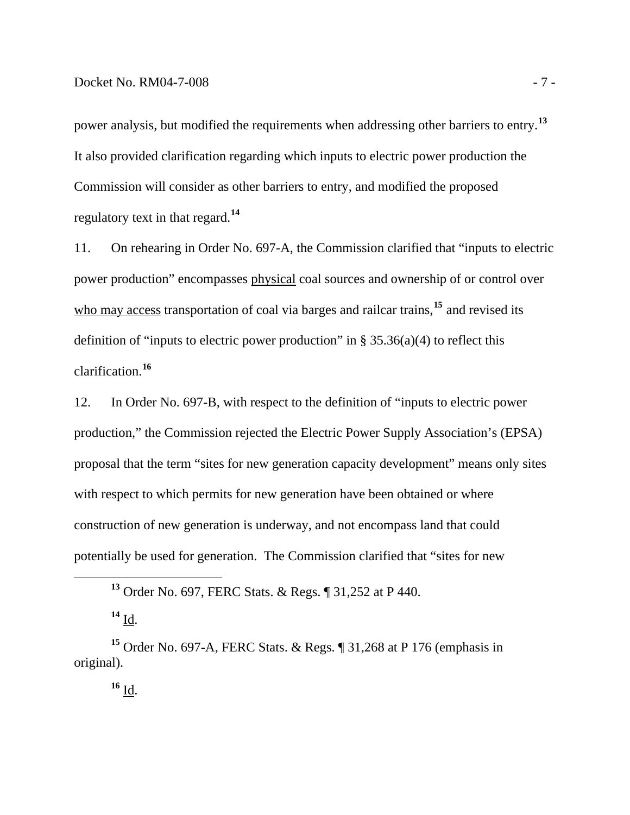power analysis, but modified the requirements when addressing other barriers to entry.**<sup>13</sup>** It also provided clarification regarding which inputs to electric power production the Commission will consider as other barriers to entry, and modified the proposed regulatory text in that regard.**<sup>14</sup>**

11. On rehearing in Order No. 697-A, the Commission clarified that "inputs to electric power production" encompasses physical coal sources and ownership of or control over who may access transportation of coal via barges and railcar trains,<sup>[15](#page-9-0)</sup> and revised its definition of "inputs to electric power production" in §  $35.36(a)(4)$  to reflect this clarification.**[16](#page-9-1)**

12. In Order No. 697-B, with respect to the definition of "inputs to electric power production," the Commission rejected the Electric Power Supply Association's (EPSA) proposal that the term "sites for new generation capacity development" means only sites with respect to which permits for new generation have been obtained or where construction of new generation is underway, and not encompass land that could potentially be used for generation. The Commission clarified that "sites for new

**<sup>14</sup>** Id.

<span id="page-9-1"></span><span id="page-9-0"></span>**<sup>15</sup>** Order No. 697-A, FERC Stats. & Regs. ¶ 31,268 at P 176 (emphasis in original).

**<sup>13</sup>** Order No. 697, FERC Stats. & Regs. ¶ 31,252 at P 440.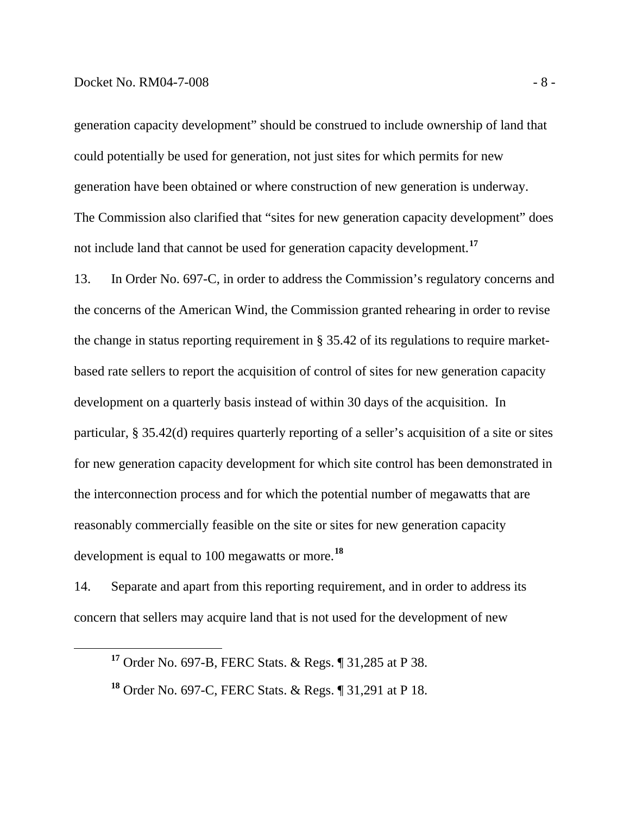<span id="page-10-0"></span> $\overline{a}$ 

generation capacity development" should be construed to include ownership of land that could potentially be used for generation, not just sites for which permits for new generation have been obtained or where construction of new generation is underway. The Commission also clarified that "sites for new generation capacity development" does not include land that cannot be used for generation capacity development.**<sup>17</sup>**

13. In Order No. 697-C, in order to address the Commission's regulatory concerns and the concerns of the American Wind, the Commission granted rehearing in order to revise the change in status reporting requirement in § 35.42 of its regulations to require marketbased rate sellers to report the acquisition of control of sites for new generation capacity development on a quarterly basis instead of within 30 days of the acquisition. In particular, § 35.42(d) requires quarterly reporting of a seller's acquisition of a site or sites for new generation capacity development for which site control has been demonstrated in the interconnection process and for which the potential number of megawatts that are reasonably commercially feasible on the site or sites for new generation capacity development is equal to 100 megawatts or more.**[18](#page-10-0)**

14. Separate and apart from this reporting requirement, and in order to address its concern that sellers may acquire land that is not used for the development of new

**<sup>17</sup>** Order No. 697-B, FERC Stats. & Regs. ¶ 31,285 at P 38.

**<sup>18</sup>** Order No. 697-C, FERC Stats. & Regs. ¶ 31,291 at P 18.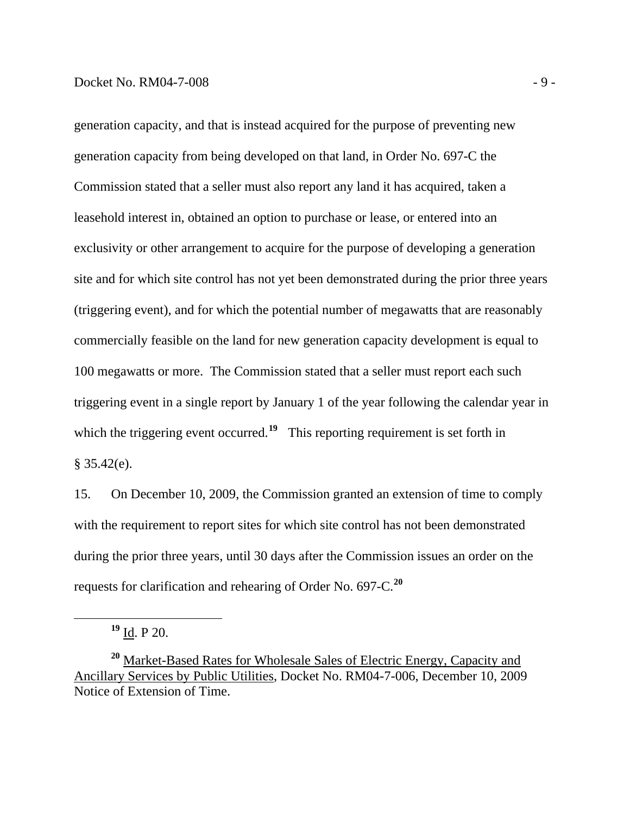generation capacity, and that is instead acquired for the purpose of preventing new generation capacity from being developed on that land, in Order No. 697-C the Commission stated that a seller must also report any land it has acquired, taken a leasehold interest in, obtained an option to purchase or lease, or entered into an exclusivity or other arrangement to acquire for the purpose of developing a generation site and for which site control has not yet been demonstrated during the prior three years (triggering event), and for which the potential number of megawatts that are reasonably commercially feasible on the land for new generation capacity development is equal to 100 megawatts or more. The Commission stated that a seller must report each such triggering event in a single report by January 1 of the year following the calendar year in which the triggering event occurred.<sup>19</sup> This reporting requirement is set forth in  $§$  35.42(e).

15. On December 10, 2009, the Commission granted an extension of time to comply with the requirement to report sites for which site control has not been demonstrated during the prior three years, until 30 days after the Commission issues an order on the requests for clarification and rehearing of Order No. 697-C.**[20](#page-11-0)**

**<sup>19</sup>** Id. P 20.

<span id="page-11-0"></span>**<sup>20</sup>** Market-Based Rates for Wholesale Sales of Electric Energy, Capacity and Ancillary Services by Public Utilities, Docket No. RM04-7-006, December 10, 2009 Notice of Extension of Time.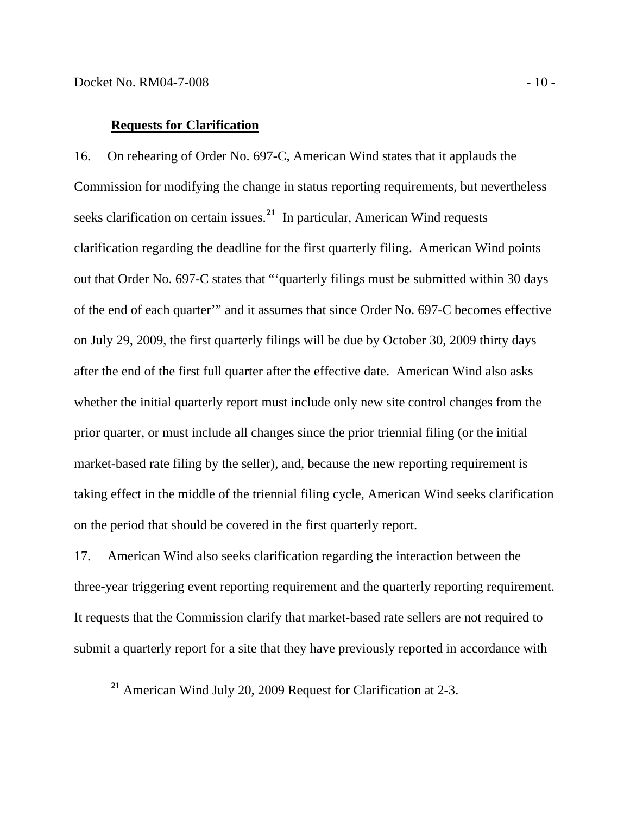<span id="page-12-0"></span>

#### **Requests for Clarification**

16. On rehearing of Order No. 697-C, American Wind states that it applauds the Commission for modifying the change in status reporting requirements, but nevertheless seeks clarification on certain issues.**[21](#page-12-0)** In particular, American Wind requests clarification regarding the deadline for the first quarterly filing. American Wind points out that Order No. 697-C states that "'quarterly filings must be submitted within 30 days of the end of each quarter'" and it assumes that since Order No. 697-C becomes effective on July 29, 2009, the first quarterly filings will be due by October 30, 2009 thirty days after the end of the first full quarter after the effective date. American Wind also asks whether the initial quarterly report must include only new site control changes from the prior quarter, or must include all changes since the prior triennial filing (or the initial market-based rate filing by the seller), and, because the new reporting requirement is taking effect in the middle of the triennial filing cycle, American Wind seeks clarification on the period that should be covered in the first quarterly report.

17. American Wind also seeks clarification regarding the interaction between the three-year triggering event reporting requirement and the quarterly reporting requirement. It requests that the Commission clarify that market-based rate sellers are not required to submit a quarterly report for a site that they have previously reported in accordance with

**<sup>21</sup>** American Wind July 20, 2009 Request for Clarification at 2-3.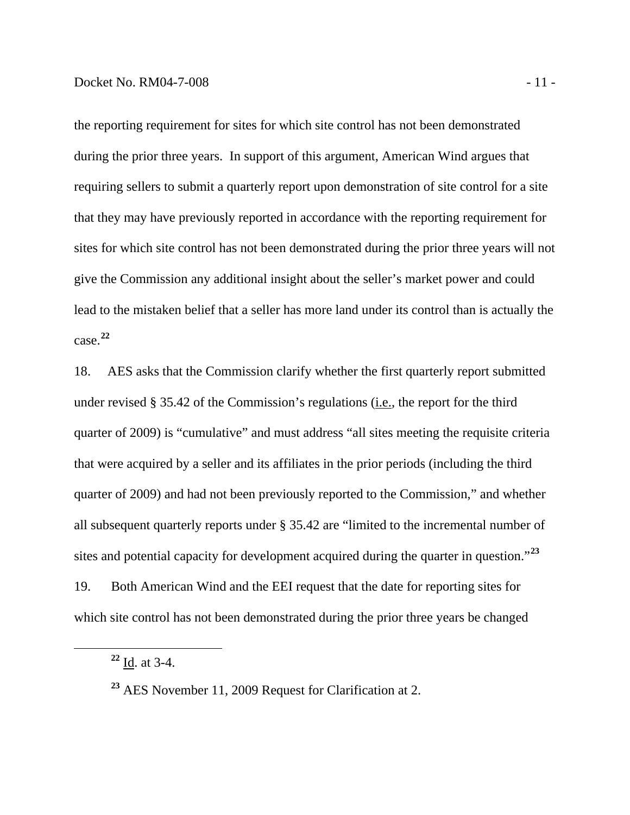the reporting requirement for sites for which site control has not been demonstrated during the prior three years. In support of this argument, American Wind argues that requiring sellers to submit a quarterly report upon demonstration of site control for a site that they may have previously reported in accordance with the reporting requirement for sites for which site control has not been demonstrated during the prior three years will not give the Commission any additional insight about the seller's market power and could lead to the mistaken belief that a seller has more land under its control than is actually the case. **22**

18. AES asks that the Commission clarify whether the first quarterly report submitted under revised § 35.42 of the Commission's regulations (i.e., the report for the third quarter of 2009) is "cumulative" and must address "all sites meeting the requisite criteria that were acquired by a seller and its affiliates in the prior periods (including the third quarter of 2009) and had not been previously reported to the Commission," and whether all subsequent quarterly reports under § 35.42 are "limited to the incremental number of sites and potential capacity for development acquired during the quarter in question."**[23](#page-13-0)** 19. Both American Wind and the EEI request that the date for reporting sites for which site control has not been demonstrated during the prior three years be changed

**<sup>22</sup>** Id. at 3-4.

<span id="page-13-0"></span>**<sup>23</sup>** AES November 11, 2009 Request for Clarification at 2.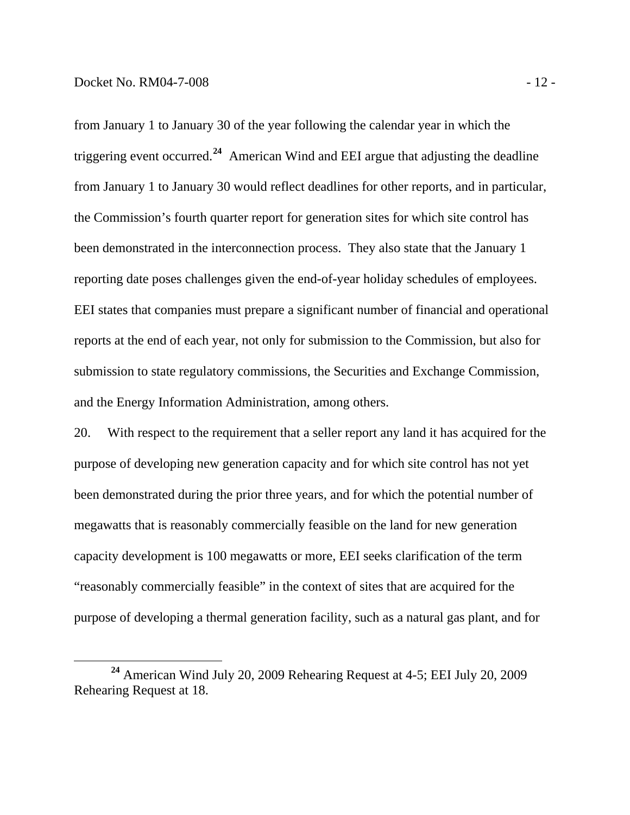$\overline{a}$ 

from January 1 to January 30 of the year following the calendar year in which the triggering event occurred.**<sup>24</sup>** American Wind and EEI argue that adjusting the deadline from January 1 to January 30 would reflect deadlines for other reports, and in particular, the Commission's fourth quarter report for generation sites for which site control has been demonstrated in the interconnection process. They also state that the January 1 reporting date poses challenges given the end-of-year holiday schedules of employees. EEI states that companies must prepare a significant number of financial and operational reports at the end of each year, not only for submission to the Commission, but also for submission to state regulatory commissions, the Securities and Exchange Commission, and the Energy Information Administration, among others.

20. With respect to the requirement that a seller report any land it has acquired for the purpose of developing new generation capacity and for which site control has not yet been demonstrated during the prior three years, and for which the potential number of megawatts that is reasonably commercially feasible on the land for new generation capacity development is 100 megawatts or more, EEI seeks clarification of the term "reasonably commercially feasible" in the context of sites that are acquired for the purpose of developing a thermal generation facility, such as a natural gas plant, and for

**<sup>24</sup>** American Wind July 20, 2009 Rehearing Request at 4-5; EEI July 20, 2009 Rehearing Request at 18.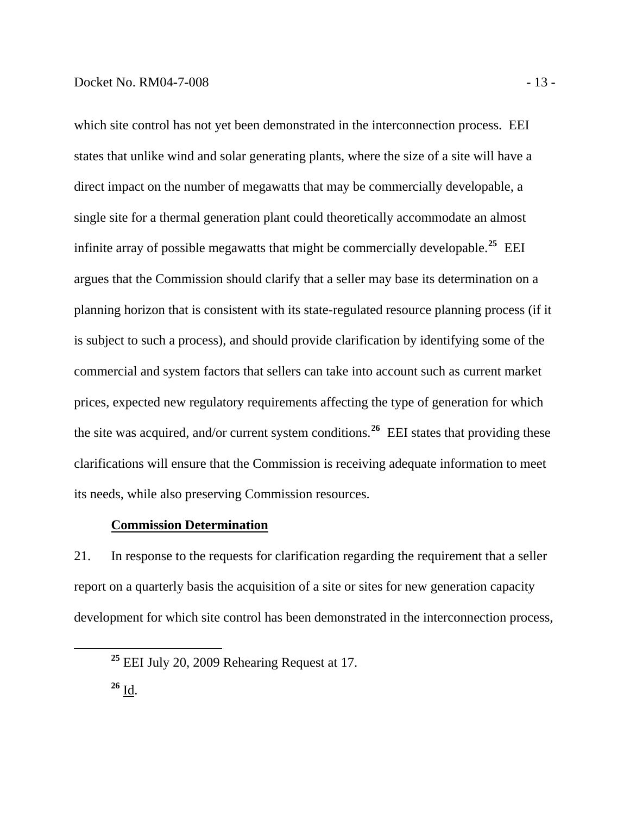which site control has not yet been demonstrated in the interconnection process. EEI states that unlike wind and solar generating plants, where the size of a site will have a direct impact on the number of megawatts that may be commercially developable, a single site for a thermal generation plant could theoretically accommodate an almost infinite array of possible megawatts that might be commercially developable.**<sup>25</sup>** EEI argues that the Commission should clarify that a seller may base its determination on a planning horizon that is consistent with its state-regulated resource planning process (if it is subject to such a process), and should provide clarification by identifying some of the commercial and system factors that sellers can take into account such as current market prices, expected new regulatory requirements affecting the type of generation for which the site was acquired, and/or current system conditions.<sup>26</sup> EEI states that providing these clarifications will ensure that the Commission is receiving adequate information to meet its needs, while also preserving Commission resources.

### **Commission Determination**

21. In response to the requests for clarification regarding the requirement that a seller report on a quarterly basis the acquisition of a site or sites for new generation capacity development for which site control has been demonstrated in the interconnection process,

**<sup>25</sup>** EEI July 20, 2009 Rehearing Request at 17.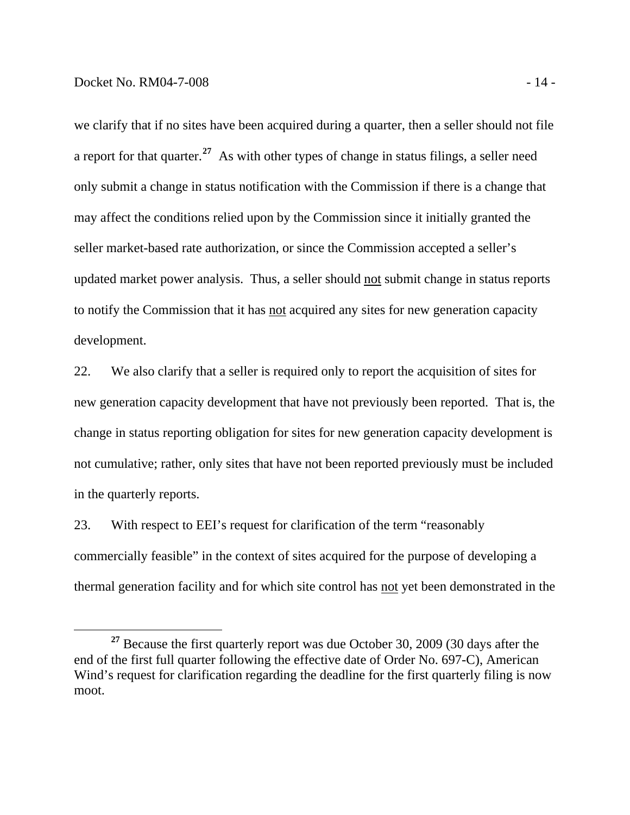we clarify that if no sites have been acquired during a quarter, then a seller should not file a report for that quarter.**<sup>27</sup>** As with other types of change in status filings, a seller need only submit a change in status notification with the Commission if there is a change that may affect the conditions relied upon by the Commission since it initially granted the seller market-based rate authorization, or since the Commission accepted a seller's updated market power analysis. Thus, a seller should not submit change in status reports to notify the Commission that it has not acquired any sites for new generation capacity development.

22. We also clarify that a seller is required only to report the acquisition of sites for new generation capacity development that have not previously been reported. That is, the change in status reporting obligation for sites for new generation capacity development is not cumulative; rather, only sites that have not been reported previously must be included in the quarterly reports.

23. With respect to EEI's request for clarification of the term "reasonably commercially feasible" in the context of sites acquired for the purpose of developing a thermal generation facility and for which site control has not yet been demonstrated in the

**<sup>27</sup>** Because the first quarterly report was due October 30, 2009 (30 days after the end of the first full quarter following the effective date of Order No. 697-C), American Wind's request for clarification regarding the deadline for the first quarterly filing is now moot.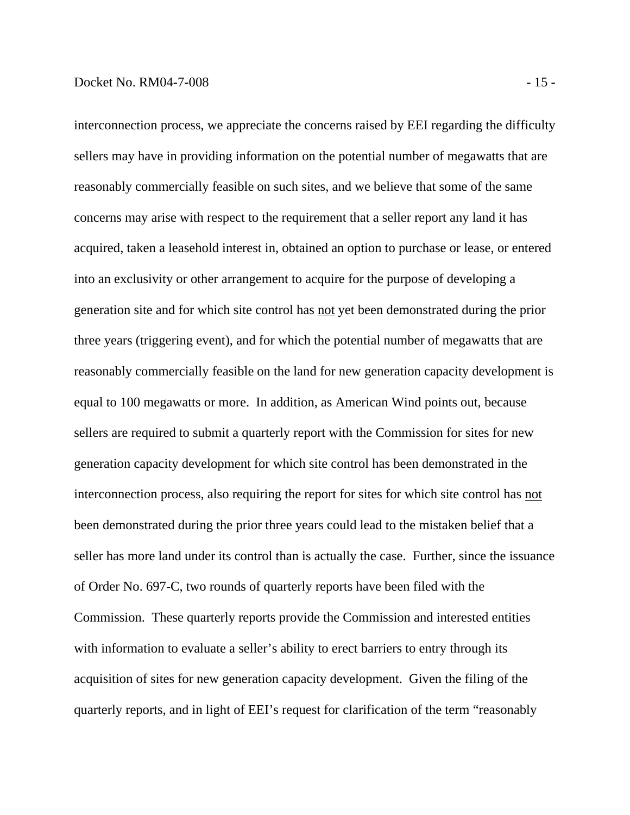interconnection process, we appreciate the concerns raised by EEI regarding the difficulty sellers may have in providing information on the potential number of megawatts that are reasonably commercially feasible on such sites, and we believe that some of the same concerns may arise with respect to the requirement that a seller report any land it has acquired, taken a leasehold interest in, obtained an option to purchase or lease, or entered into an exclusivity or other arrangement to acquire for the purpose of developing a generation site and for which site control has not yet been demonstrated during the prior three years (triggering event), and for which the potential number of megawatts that are reasonably commercially feasible on the land for new generation capacity development is equal to 100 megawatts or more. In addition, as American Wind points out, because sellers are required to submit a quarterly report with the Commission for sites for new generation capacity development for which site control has been demonstrated in the interconnection process, also requiring the report for sites for which site control has not been demonstrated during the prior three years could lead to the mistaken belief that a seller has more land under its control than is actually the case. Further, since the issuance of Order No. 697-C, two rounds of quarterly reports have been filed with the Commission. These quarterly reports provide the Commission and interested entities with information to evaluate a seller's ability to erect barriers to entry through its acquisition of sites for new generation capacity development. Given the filing of the quarterly reports, and in light of EEI's request for clarification of the term "reasonably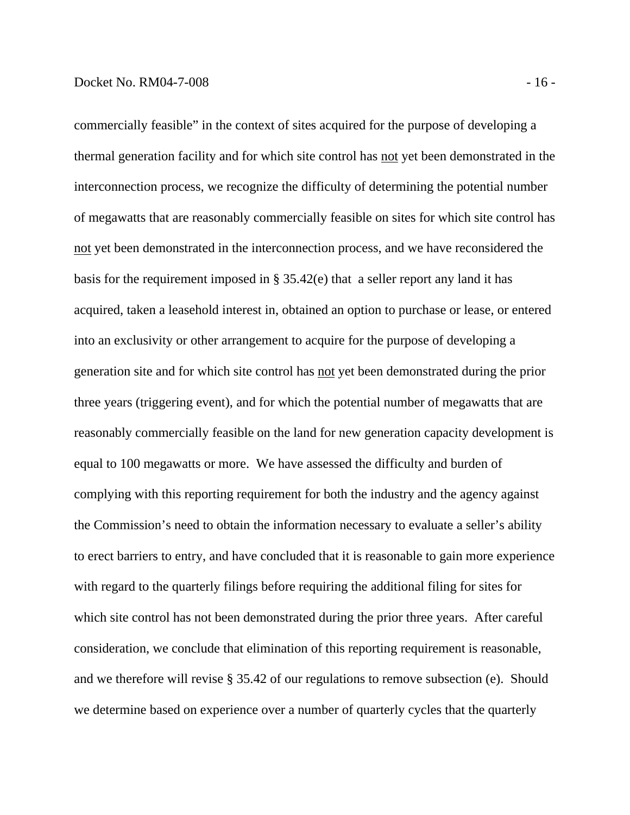commercially feasible" in the context of sites acquired for the purpose of developing a thermal generation facility and for which site control has not yet been demonstrated in the interconnection process, we recognize the difficulty of determining the potential number of megawatts that are reasonably commercially feasible on sites for which site control has not yet been demonstrated in the interconnection process, and we have reconsidered the basis for the requirement imposed in § 35.42(e) that a seller report any land it has acquired, taken a leasehold interest in, obtained an option to purchase or lease, or entered into an exclusivity or other arrangement to acquire for the purpose of developing a generation site and for which site control has not yet been demonstrated during the prior three years (triggering event), and for which the potential number of megawatts that are reasonably commercially feasible on the land for new generation capacity development is equal to 100 megawatts or more. We have assessed the difficulty and burden of complying with this reporting requirement for both the industry and the agency against the Commission's need to obtain the information necessary to evaluate a seller's ability to erect barriers to entry, and have concluded that it is reasonable to gain more experience with regard to the quarterly filings before requiring the additional filing for sites for which site control has not been demonstrated during the prior three years. After careful consideration, we conclude that elimination of this reporting requirement is reasonable, and we therefore will revise § 35.42 of our regulations to remove subsection (e). Should we determine based on experience over a number of quarterly cycles that the quarterly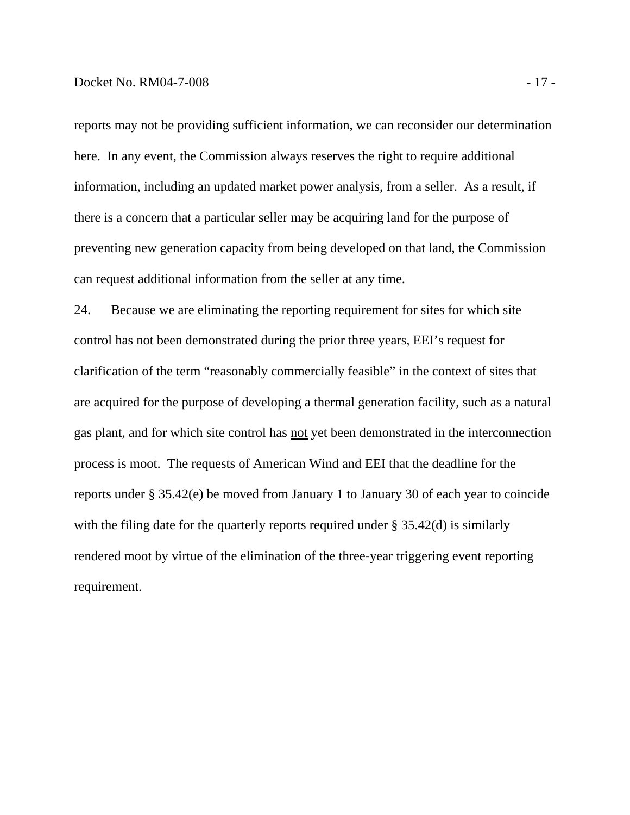reports may not be providing sufficient information, we can reconsider our determination here. In any event, the Commission always reserves the right to require additional information, including an updated market power analysis, from a seller. As a result, if there is a concern that a particular seller may be acquiring land for the purpose of preventing new generation capacity from being developed on that land, the Commission can request additional information from the seller at any time.

24. Because we are eliminating the reporting requirement for sites for which site control has not been demonstrated during the prior three years, EEI's request for clarification of the term "reasonably commercially feasible" in the context of sites that are acquired for the purpose of developing a thermal generation facility, such as a natural gas plant, and for which site control has not yet been demonstrated in the interconnection process is moot. The requests of American Wind and EEI that the deadline for the reports under § 35.42(e) be moved from January 1 to January 30 of each year to coincide with the filing date for the quarterly reports required under § 35.42(d) is similarly rendered moot by virtue of the elimination of the three-year triggering event reporting requirement.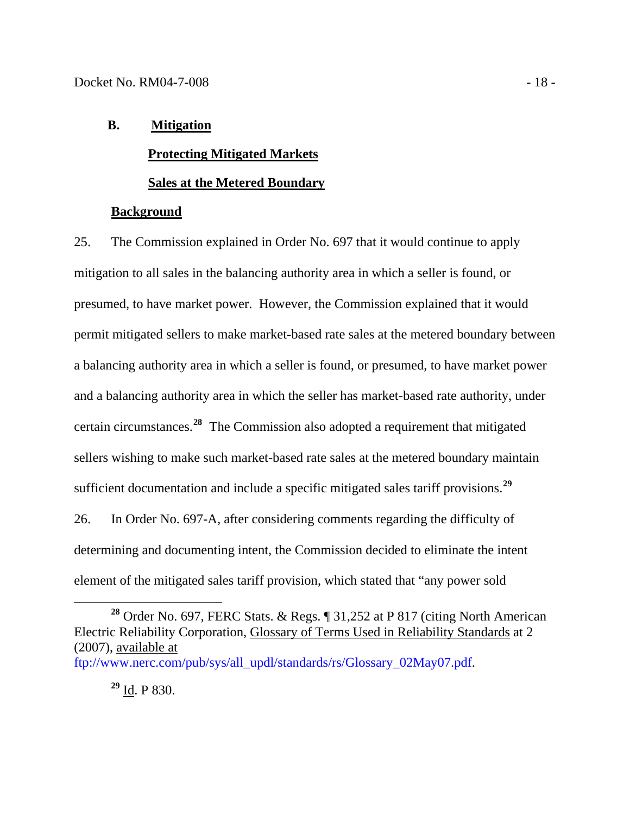### <span id="page-20-1"></span><span id="page-20-0"></span>**B. Mitigation**

### **Protecting Mitigated Markets**

### **Sales at the Metered Boundary**

#### **Background**

25. The Commission explained in Order No. 697 that it would continue to apply mitigation to all sales in the balancing authority area in which a seller is found, or presumed, to have market power. However, the Commission explained that it would permit mitigated sellers to make market-based rate sales at the metered boundary between a balancing authority area in which a seller is found, or presumed, to have market power and a balancing authority area in which the seller has market-based rate authority, under certain circumstances.**[28](#page-20-2)** The Commission also adopted a requirement that mitigated sellers wishing to make such market-based rate sales at the metered boundary maintain sufficient documentation and include a specific mitigated sales tariff provisions.**[29](#page-20-3)** 26. In Order No. 697-A, after considering comments regarding the difficulty of determining and documenting intent, the Commission decided to eliminate the intent element of the mitigated sales tariff provision, which stated that "any power sold

**<sup>29</sup>** Id. P 830.

<span id="page-20-3"></span><span id="page-20-2"></span>**<sup>28</sup>** Order No. 697, FERC Stats. & Regs. ¶ 31,252 at P 817 (citing North American Electric Reliability Corporation, Glossary of Terms Used in Reliability Standards at 2 (2007), available at [ftp://www.nerc.com/pub/sys/all\\_updl/standards/rs/Glossary\\_02May07.pdf.](ftp://www.nerc.com/pub/sys/all_updl/standards/rs/Glossary_02May07.pdf)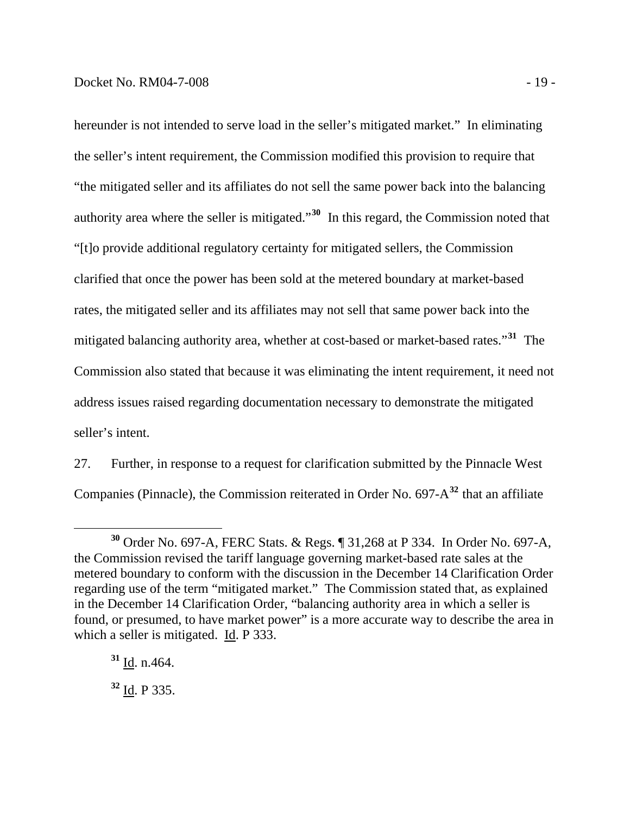hereunder is not intended to serve load in the seller's mitigated market." In eliminating the seller's intent requirement, the Commission modified this provision to require that "the mitigated seller and its affiliates do not sell the same power back into the balancing authority area where the seller is mitigated."**<sup>30</sup>** In this regard, the Commission noted that "[t]o provide additional regulatory certainty for mitigated sellers, the Commission clarified that once the power has been sold at the metered boundary at market-based rates, the mitigated seller and its affiliates may not sell that same power back into the mitigated balancing authority area, whether at cost-based or market-based rates."**<sup>31</sup>** The Commission also stated that because it was eliminating the intent requirement, it need not address issues raised regarding documentation necessary to demonstrate the mitigated seller's intent.

27. Further, in response to a request for clarification submitted by the Pinnacle West Companies (Pinnacle), the Commission reiterated in Order No. 697-A**[32](#page-21-0)** that an affiliate

 $\overline{a}$ 

<span id="page-21-0"></span>**<sup>32</sup>** Id. P 335.

**<sup>30</sup>** Order No. 697-A, FERC Stats. & Regs. ¶ 31,268 at P 334. In Order No. 697-A, the Commission revised the tariff language governing market-based rate sales at the metered boundary to conform with the discussion in the December 14 Clarification Order regarding use of the term "mitigated market." The Commission stated that, as explained in the December 14 Clarification Order, "balancing authority area in which a seller is found, or presumed, to have market power" is a more accurate way to describe the area in which a seller is mitigated. Id. P 333.

**<sup>31</sup>** Id. n.464.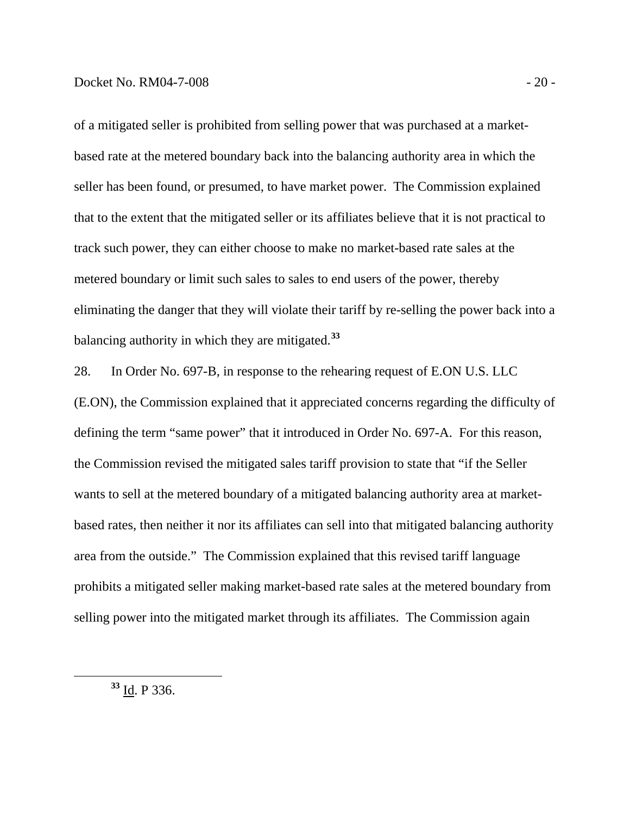of a mitigated seller is prohibited from selling power that was purchased at a marketbased rate at the metered boundary back into the balancing authority area in which the seller has been found, or presumed, to have market power. The Commission explained that to the extent that the mitigated seller or its affiliates believe that it is not practical to track such power, they can either choose to make no market-based rate sales at the metered boundary or limit such sales to sales to end users of the power, thereby eliminating the danger that they will violate their tariff by re-selling the power back into a balancing authority in which they are mitigated.**<sup>33</sup>**

28. In Order No. 697-B, in response to the rehearing request of E.ON U.S. LLC (E.ON), the Commission explained that it appreciated concerns regarding the difficulty of defining the term "same power" that it introduced in Order No. 697-A. For this reason, the Commission revised the mitigated sales tariff provision to state that "if the Seller wants to sell at the metered boundary of a mitigated balancing authority area at marketbased rates, then neither it nor its affiliates can sell into that mitigated balancing authority area from the outside." The Commission explained that this revised tariff language prohibits a mitigated seller making market-based rate sales at the metered boundary from selling power into the mitigated market through its affiliates. The Commission again

**<sup>33</sup>** Id. P 336.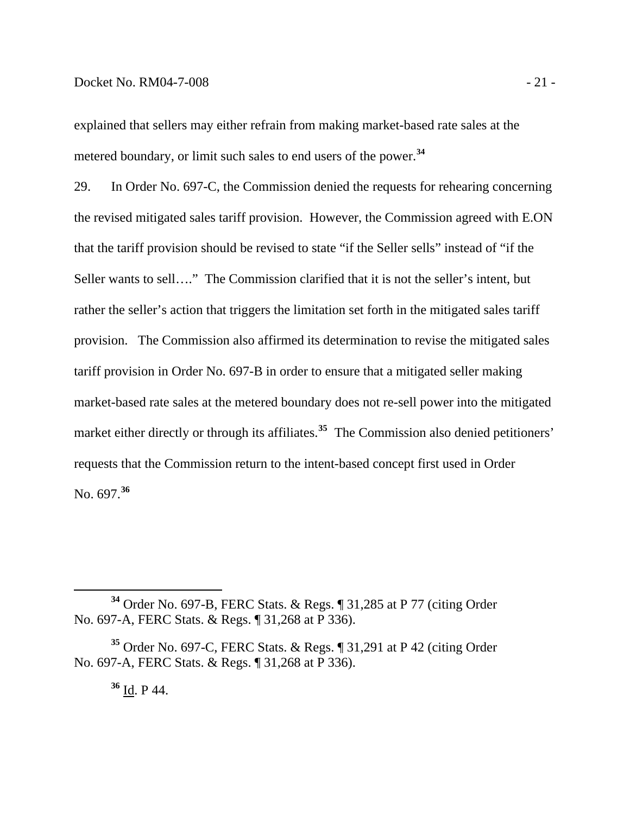explained that sellers may either refrain from making market-based rate sales at the metered boundary, or limit such sales to end users of the power.**<sup>34</sup>**

29. In Order No. 697-C, the Commission denied the requests for rehearing concerning the revised mitigated sales tariff provision. However, the Commission agreed with E.ON that the tariff provision should be revised to state "if the Seller sells" instead of "if the Seller wants to sell…." The Commission clarified that it is not the seller's intent, but rather the seller's action that triggers the limitation set forth in the mitigated sales tariff provision. The Commission also affirmed its determination to revise the mitigated sales tariff provision in Order No. 697-B in order to ensure that a mitigated seller making market-based rate sales at the metered boundary does not re-sell power into the mitigated market either directly or through its affiliates.<sup>[35](#page-23-0)</sup> The Commission also denied petitioners' requests that the Commission return to the intent-based concept first used in Order No. 697.**[36](#page-23-1)**

**<sup>36</sup>** Id. P 44.

**<sup>34</sup>** Order No. 697-B, FERC Stats. & Regs. ¶ 31,285 at P 77 (citing Order No. 697-A, FERC Stats. & Regs. ¶ 31,268 at P 336).

<span id="page-23-1"></span><span id="page-23-0"></span>**<sup>35</sup>** Order No. 697-C, FERC Stats. & Regs. ¶ 31,291 at P 42 (citing Order No. 697-A, FERC Stats. & Regs. ¶ 31,268 at P 336).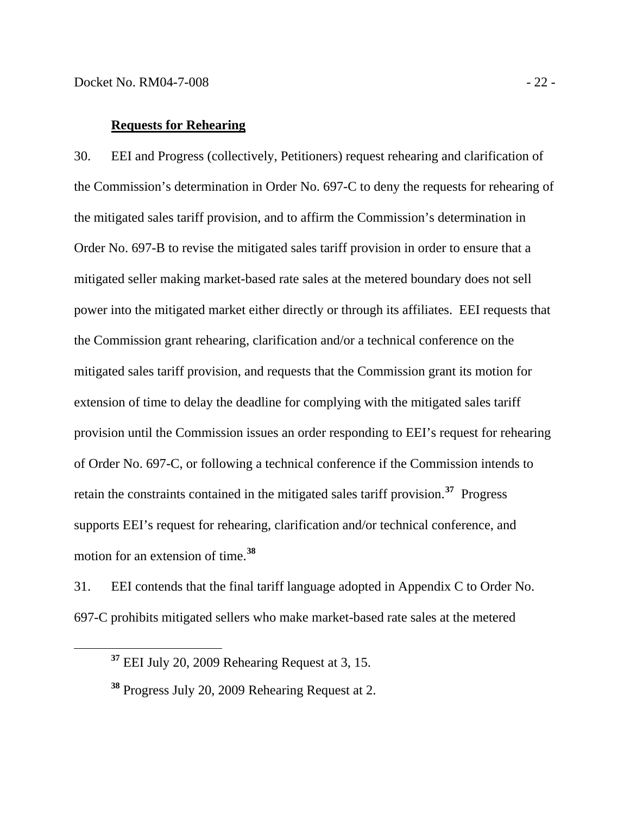#### **Requests for Rehearing**

30. EEI and Progress (collectively, Petitioners) request rehearing and clarification of the Commission's determination in Order No. 697-C to deny the requests for rehearing of the mitigated sales tariff provision, and to affirm the Commission's determination in Order No. 697-B to revise the mitigated sales tariff provision in order to ensure that a mitigated seller making market-based rate sales at the metered boundary does not sell power into the mitigated market either directly or through its affiliates. EEI requests that the Commission grant rehearing, clarification and/or a technical conference on the mitigated sales tariff provision, and requests that the Commission grant its motion for extension of time to delay the deadline for complying with the mitigated sales tariff provision until the Commission issues an order responding to EEI's request for rehearing of Order No. 697-C, or following a technical conference if the Commission intends to retain the constraints contained in the mitigated sales tariff provision.**[37](#page-24-0)** Progress supports EEI's request for rehearing, clarification and/or technical conference, and motion for an extension of time.**<sup>38</sup>**

<span id="page-24-0"></span>31. EEI contends that the final tariff language adopted in Appendix C to Order No. 697-C prohibits mitigated sellers who make market-based rate sales at the metered

**<sup>37</sup>** EEI July 20, 2009 Rehearing Request at 3, 15.

**<sup>38</sup>** Progress July 20, 2009 Rehearing Request at 2.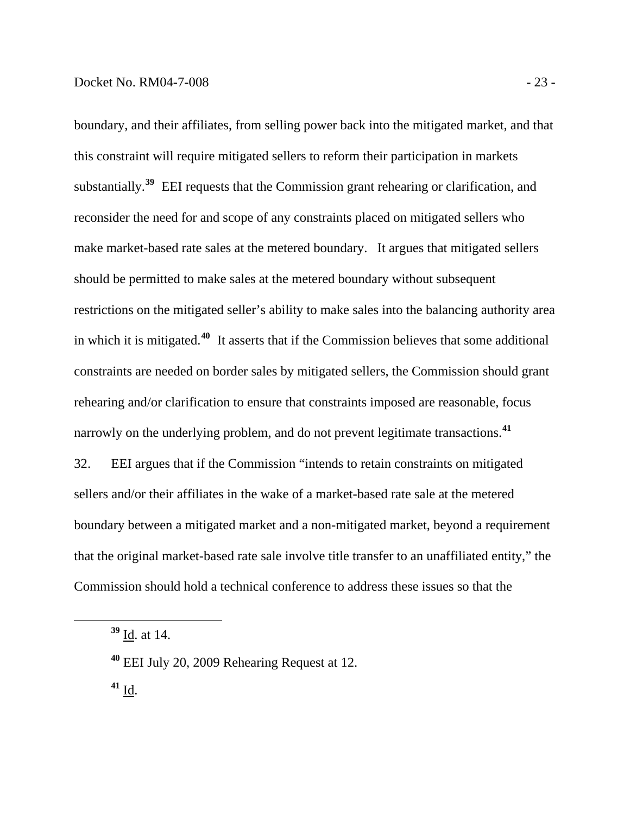boundary, and their affiliates, from selling power back into the mitigated market, and that this constraint will require mitigated sellers to reform their participation in markets substantially.<sup>39</sup> EEI requests that the Commission grant rehearing or clarification, and reconsider the need for and scope of any constraints placed on mitigated sellers who make market-based rate sales at the metered boundary. It argues that mitigated sellers should be permitted to make sales at the metered boundary without subsequent restrictions on the mitigated seller's ability to make sales into the balancing authority area in which it is mitigated.**<sup>40</sup>** It asserts that if the Commission believes that some additional constraints are needed on border sales by mitigated sellers, the Commission should grant rehearing and/or clarification to ensure that constraints imposed are reasonable, focus narrowly on the underlying problem, and do not prevent legitimate transactions.**<sup>41</sup>** 32. EEI argues that if the Commission "intends to retain constraints on mitigated sellers and/or their affiliates in the wake of a market-based rate sale at the metered boundary between a mitigated market and a non-mitigated market, beyond a requirement that the original market-based rate sale involve title transfer to an unaffiliated entity," the

Commission should hold a technical conference to address these issues so that the

**<sup>41</sup>** Id.

**<sup>39</sup>** Id. at 14.

**<sup>40</sup>** EEI July 20, 2009 Rehearing Request at 12.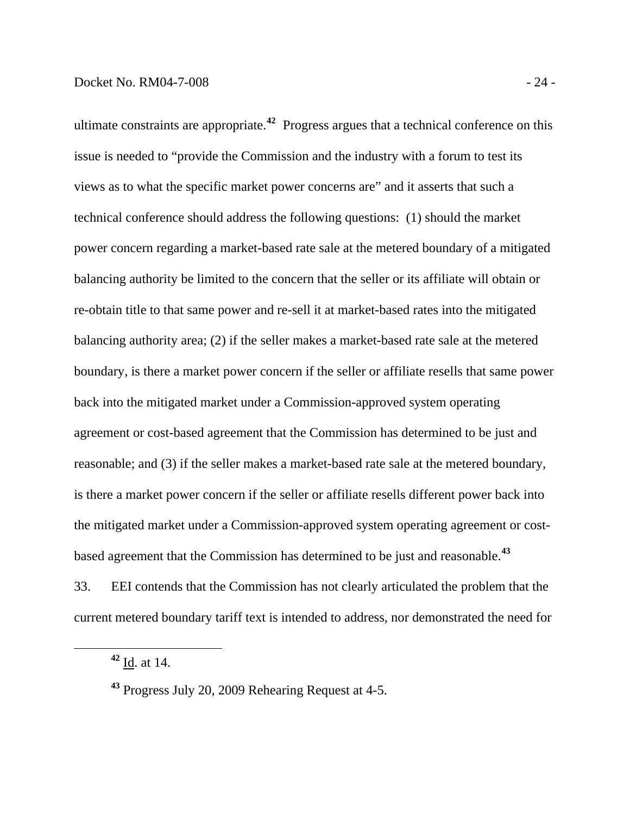ultimate constraints are appropriate.**<sup>42</sup>** Progress argues that a technical conference on this issue is needed to "provide the Commission and the industry with a forum to test its views as to what the specific market power concerns are" and it asserts that such a technical conference should address the following questions: (1) should the market power concern regarding a market-based rate sale at the metered boundary of a mitigated balancing authority be limited to the concern that the seller or its affiliate will obtain or re-obtain title to that same power and re-sell it at market-based rates into the mitigated balancing authority area; (2) if the seller makes a market-based rate sale at the metered boundary, is there a market power concern if the seller or affiliate resells that same power back into the mitigated market under a Commission-approved system operating agreement or cost-based agreement that the Commission has determined to be just and reasonable; and (3) if the seller makes a market-based rate sale at the metered boundary, is there a market power concern if the seller or affiliate resells different power back into the mitigated market under a Commission-approved system operating agreement or costbased agreement that the Commission has determined to be just and reasonable.**<sup>43</sup>** 33. EEI contends that the Commission has not clearly articulated the problem that the

current metered boundary tariff text is intended to address, nor demonstrated the need for

**<sup>42</sup>** Id. at 14.

**<sup>43</sup>** Progress July 20, 2009 Rehearing Request at 4-5.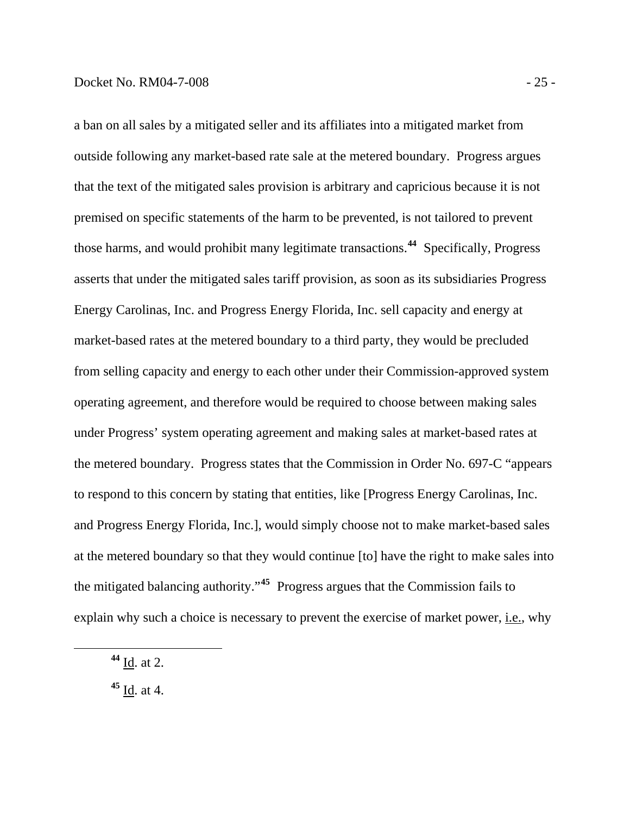a ban on all sales by a mitigated seller and its affiliates into a mitigated market from outside following any market-based rate sale at the metered boundary. Progress argues that the text of the mitigated sales provision is arbitrary and capricious because it is not premised on specific statements of the harm to be prevented, is not tailored to prevent those harms, and would prohibit many legitimate transactions.**<sup>44</sup>** Specifically, Progress asserts that under the mitigated sales tariff provision, as soon as its subsidiaries Progress Energy Carolinas, Inc. and Progress Energy Florida, Inc. sell capacity and energy at market-based rates at the metered boundary to a third party, they would be precluded from selling capacity and energy to each other under their Commission-approved system operating agreement, and therefore would be required to choose between making sales under Progress' system operating agreement and making sales at market-based rates at the metered boundary. Progress states that the Commission in Order No. 697-C "appears to respond to this concern by stating that entities, like [Progress Energy Carolinas, Inc. and Progress Energy Florida, Inc.], would simply choose not to make market-based sales at the metered boundary so that they would continue [to] have the right to make sales into the mitigated balancing authority."**<sup>45</sup>** Progress argues that the Commission fails to explain why such a choice is necessary to prevent the exercise of market power, i.e., why

**<sup>45</sup>** Id. at 4.

**<sup>44</sup>** Id. at 2.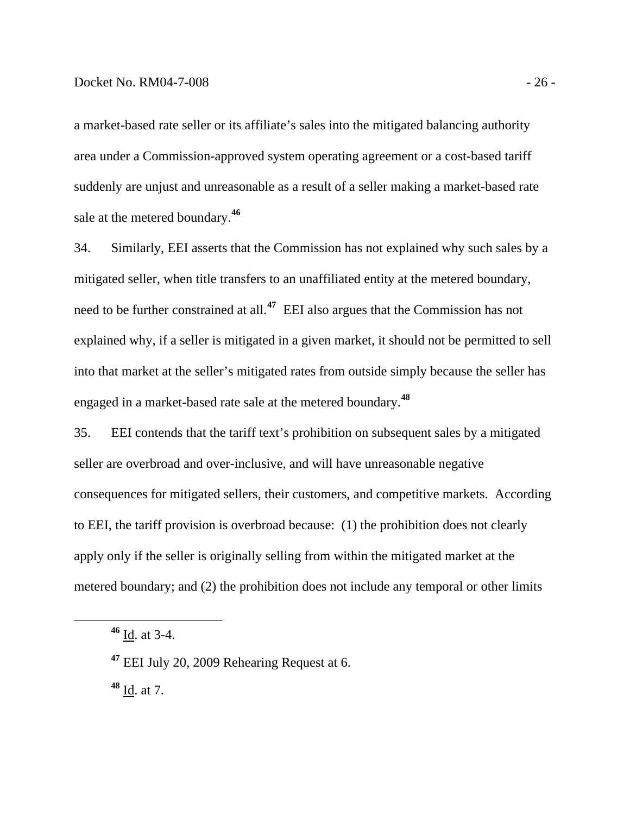a market-based rate seller or its affiliate's sales into the mitigated balancing authority area under a Commission-approved system operating agreement or a cost-based tariff suddenly are unjust and unreasonable as a result of a seller making a market-based rate sale at the metered boundary.**<sup>46</sup>**

34. Similarly, EEI asserts that the Commission has not explained why such sales by a mitigated seller, when title transfers to an unaffiliated entity at the metered boundary, need to be further constrained at all.**[47](#page-28-0)** EEI also argues that the Commission has not explained why, if a seller is mitigated in a given market, it should not be permitted to sell into that market at the seller's mitigated rates from outside simply because the seller has engaged in a market-based rate sale at the metered boundary.**[48](#page-28-1)**

35. EEI contends that the tariff text's prohibition on subsequent sales by a mitigated seller are overbroad and over-inclusive, and will have unreasonable negative consequences for mitigated sellers, their customers, and competitive markets. According to EEI, the tariff provision is overbroad because: (1) the prohibition does not clearly apply only if the seller is originally selling from within the mitigated market at the metered boundary; and (2) the prohibition does not include any temporal or other limits

<span id="page-28-1"></span><span id="page-28-0"></span> $\overline{a}$ 

**<sup>48</sup>** Id. at 7.

**<sup>46</sup>** Id. at 3-4.

**<sup>47</sup>** EEI July 20, 2009 Rehearing Request at 6.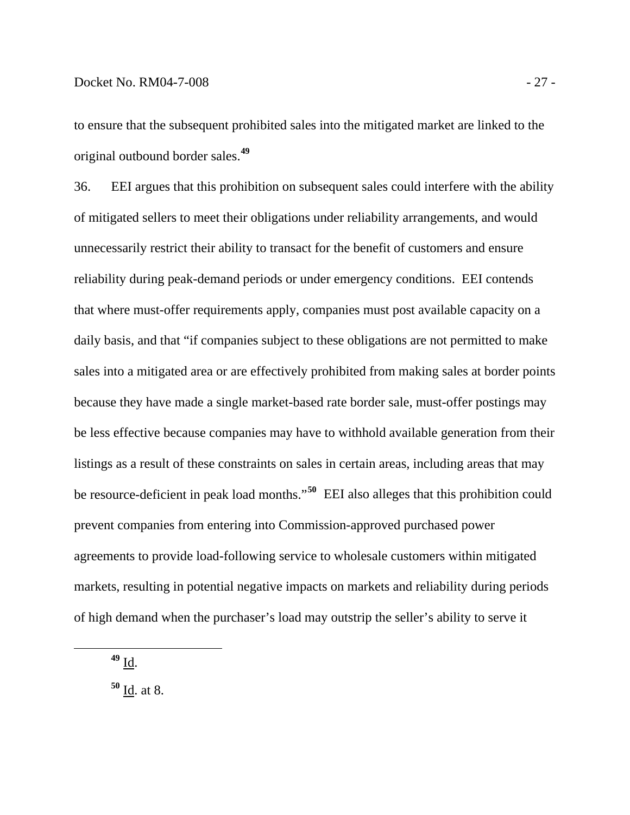to ensure that the subsequent prohibited sales into the mitigated market are linked to the original outbound border sales.**<sup>49</sup>**

36. EEI argues that this prohibition on subsequent sales could interfere with the ability of mitigated sellers to meet their obligations under reliability arrangements, and would unnecessarily restrict their ability to transact for the benefit of customers and ensure reliability during peak-demand periods or under emergency conditions. EEI contends that where must-offer requirements apply, companies must post available capacity on a daily basis, and that "if companies subject to these obligations are not permitted to make sales into a mitigated area or are effectively prohibited from making sales at border points because they have made a single market-based rate border sale, must-offer postings may be less effective because companies may have to withhold available generation from their listings as a result of these constraints on sales in certain areas, including areas that may be resource-deficient in peak load months."**[50](#page-29-0)** EEI also alleges that this prohibition could prevent companies from entering into Commission-approved purchased power agreements to provide load-following service to wholesale customers within mitigated markets, resulting in potential negative impacts on markets and reliability during periods of high demand when the purchaser's load may outstrip the seller's ability to serve it

**<sup>49</sup>** Id.

<span id="page-29-0"></span> $\overline{a}$ 

**<sup>50</sup>** Id. at 8.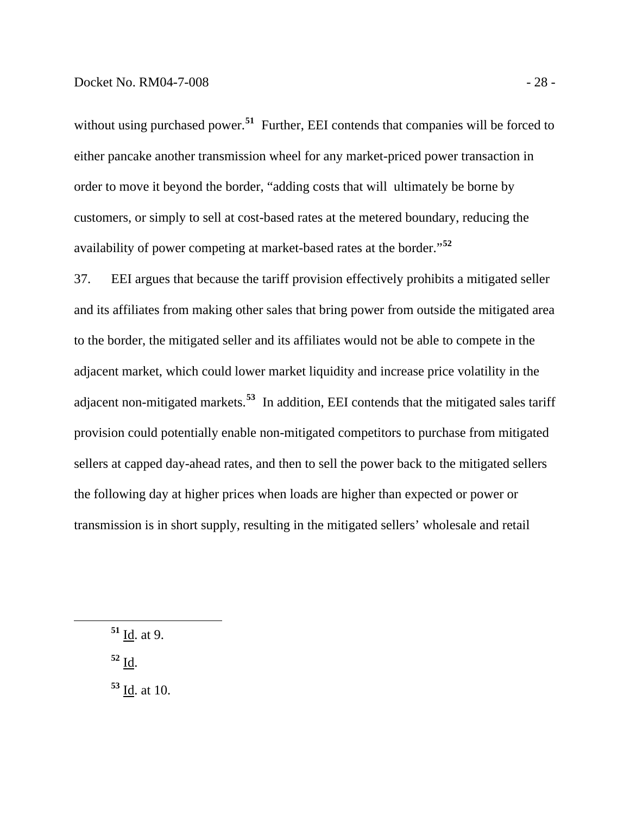without using purchased power.<sup>51</sup> Further, EEI contends that companies will be forced to either pancake another transmission wheel for any market-priced power transaction in order to move it beyond the border, "adding costs that will ultimately be borne by customers, or simply to sell at cost-based rates at the metered boundary, reducing the availability of power competing at market-based rates at the border."**<sup>52</sup>**

37. EEI argues that because the tariff provision effectively prohibits a mitigated seller and its affiliates from making other sales that bring power from outside the mitigated area to the border, the mitigated seller and its affiliates would not be able to compete in the adjacent market, which could lower market liquidity and increase price volatility in the adjacent non-mitigated markets.**[53](#page-30-0)** In addition, EEI contends that the mitigated sales tariff provision could potentially enable non-mitigated competitors to purchase from mitigated sellers at capped day-ahead rates, and then to sell the power back to the mitigated sellers the following day at higher prices when loads are higher than expected or power or transmission is in short supply, resulting in the mitigated sellers' wholesale and retail

**<sup>51</sup>** Id. at 9.

**<sup>52</sup>** Id.

<span id="page-30-0"></span> $\overline{a}$ 

**<sup>53</sup>** Id. at 10.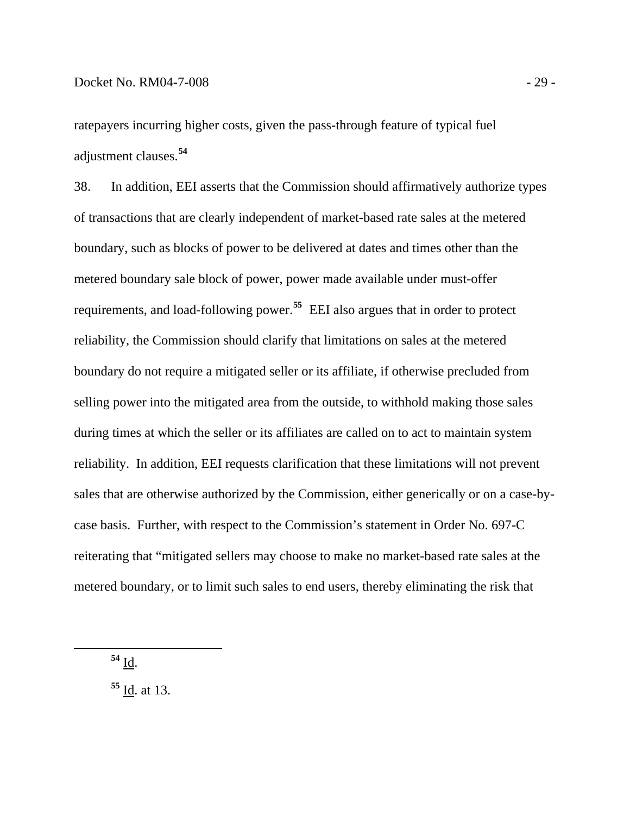ratepayers incurring higher costs, given the pass-through feature of typical fuel adjustment clauses.**<sup>54</sup>**

38. In addition, EEI asserts that the Commission should affirmatively authorize types of transactions that are clearly independent of market-based rate sales at the metered boundary, such as blocks of power to be delivered at dates and times other than the metered boundary sale block of power, power made available under must-offer requirements, and load-following power.**[55](#page-31-0)** EEI also argues that in order to protect reliability, the Commission should clarify that limitations on sales at the metered boundary do not require a mitigated seller or its affiliate, if otherwise precluded from selling power into the mitigated area from the outside, to withhold making those sales during times at which the seller or its affiliates are called on to act to maintain system reliability. In addition, EEI requests clarification that these limitations will not prevent sales that are otherwise authorized by the Commission, either generically or on a case-bycase basis. Further, with respect to the Commission's statement in Order No. 697-C reiterating that "mitigated sellers may choose to make no market-based rate sales at the metered boundary, or to limit such sales to end users, thereby eliminating the risk that

**<sup>54</sup>** Id.

<span id="page-31-0"></span> $\overline{a}$ 

**<sup>55</sup>** Id. at 13.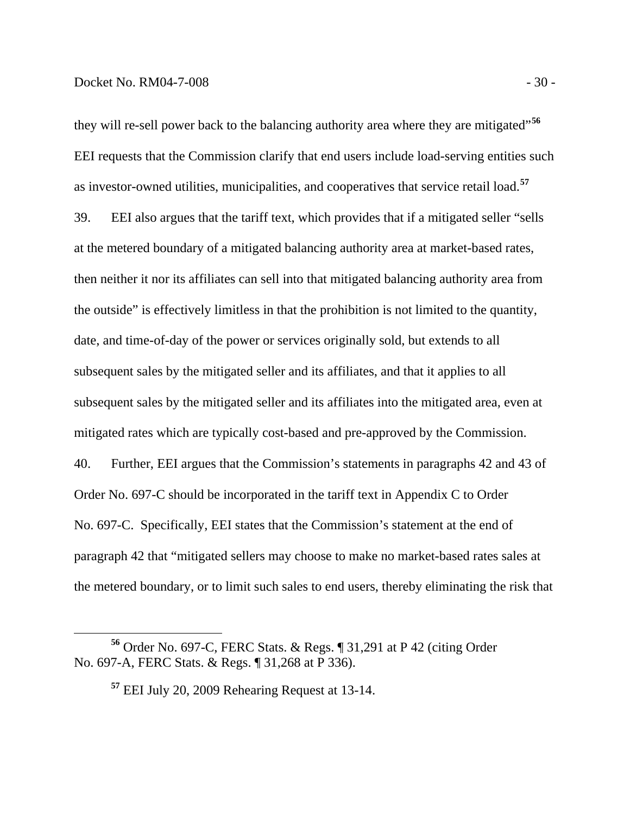$\overline{a}$ 

they will re-sell power back to the balancing authority area where they are mitigated"**<sup>56</sup>** EEI requests that the Commission clarify that end users include load-serving entities such as investor-owned utilities, municipalities, and cooperatives that service retail load.**<sup>57</sup>** 39. EEI also argues that the tariff text, which provides that if a mitigated seller "sells at the metered boundary of a mitigated balancing authority area at market-based rates, then neither it nor its affiliates can sell into that mitigated balancing authority area from the outside" is effectively limitless in that the prohibition is not limited to the quantity, date, and time-of-day of the power or services originally sold, but extends to all subsequent sales by the mitigated seller and its affiliates, and that it applies to all subsequent sales by the mitigated seller and its affiliates into the mitigated area, even at mitigated rates which are typically cost-based and pre-approved by the Commission. 40. Further, EEI argues that the Commission's statements in paragraphs 42 and 43 of Order No. 697-C should be incorporated in the tariff text in Appendix C to Order No. 697-C. Specifically, EEI states that the Commission's statement at the end of paragraph 42 that "mitigated sellers may choose to make no market-based rates sales at the metered boundary, or to limit such sales to end users, thereby eliminating the risk that

**<sup>56</sup>** Order No. 697-C, FERC Stats. & Regs. ¶ 31,291 at P 42 (citing Order No. 697-A, FERC Stats. & Regs. ¶ 31,268 at P 336).

**<sup>57</sup>** EEI July 20, 2009 Rehearing Request at 13-14.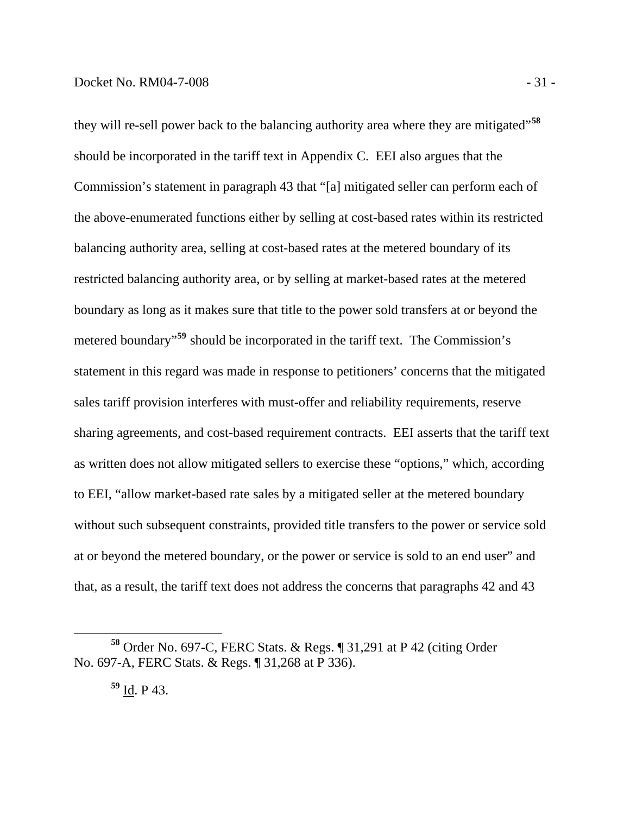they will re-sell power back to the balancing authority area where they are mitigated"**<sup>58</sup>** should be incorporated in the tariff text in Appendix C. EEI also argues that the Commission's statement in paragraph 43 that "[a] mitigated seller can perform each of the above-enumerated functions either by selling at cost-based rates within its restricted balancing authority area, selling at cost-based rates at the metered boundary of its restricted balancing authority area, or by selling at market-based rates at the metered boundary as long as it makes sure that title to the power sold transfers at or beyond the metered boundary<sup>"59</sup> should be incorporated in the tariff text. The Commission's statement in this regard was made in response to petitioners' concerns that the mitigated sales tariff provision interferes with must-offer and reliability requirements, reserve sharing agreements, and cost-based requirement contracts. EEI asserts that the tariff text as written does not allow mitigated sellers to exercise these "options," which, according to EEI, "allow market-based rate sales by a mitigated seller at the metered boundary without such subsequent constraints, provided title transfers to the power or service sold at or beyond the metered boundary, or the power or service is sold to an end user" and that, as a result, the tariff text does not address the concerns that paragraphs 42 and 43

**<sup>59</sup>** Id. P 43.

**<sup>58</sup>** Order No. 697-C, FERC Stats. & Regs. ¶ 31,291 at P 42 (citing Order No. 697-A, FERC Stats. & Regs. ¶ 31,268 at P 336).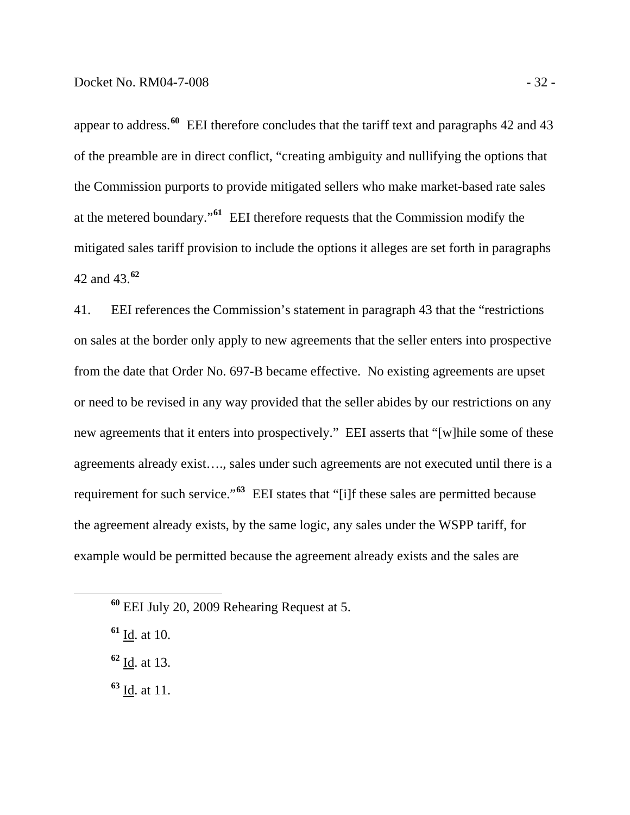appear to address.**<sup>60</sup>** EEI therefore concludes that the tariff text and paragraphs 42 and 43 of the preamble are in direct conflict, "creating ambiguity and nullifying the options that the Commission purports to provide mitigated sellers who make market-based rate sales at the metered boundary."**<sup>61</sup>** EEI therefore requests that the Commission modify the mitigated sales tariff provision to include the options it alleges are set forth in paragraphs 42 and 43.**<sup>62</sup>**

41. EEI references the Commission's statement in paragraph 43 that the "restrictions on sales at the border only apply to new agreements that the seller enters into prospective from the date that Order No. 697-B became effective. No existing agreements are upset or need to be revised in any way provided that the seller abides by our restrictions on any new agreements that it enters into prospectively." EEI asserts that "[w]hile some of these agreements already exist…., sales under such agreements are not executed until there is a requirement for such service."**[63](#page-34-0)** EEI states that "[i]f these sales are permitted because the agreement already exists, by the same logic, any sales under the WSPP tariff, for example would be permitted because the agreement already exists and the sales are

- **<sup>62</sup>** Id. at 13.
- <span id="page-34-0"></span>**<sup>63</sup>** Id. at 11.

**<sup>60</sup>** EEI July 20, 2009 Rehearing Request at 5.

**<sup>61</sup>** Id. at 10.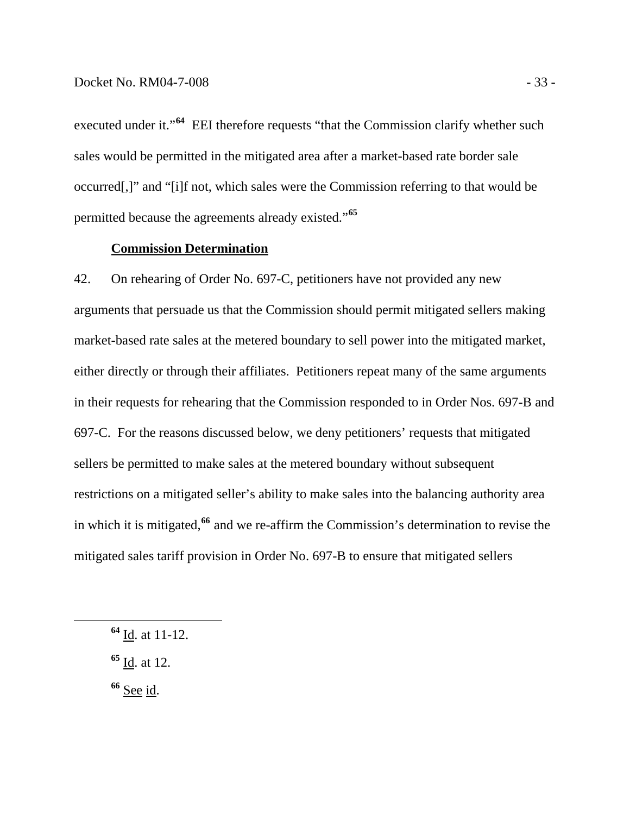permitted because the agreements already existed."<sup>65</sup> executed under it."**<sup>64</sup>** EEI therefore requests "that the Commission clarify whether such sales would be permitted in the mitigated area after a market-based rate border sale occurred[,]" and "[i]f not, which sales were the Commission referring to that would be

#### **Commission Determination**

42. On rehearing of Order No. 697-C, petitioners have not provided any new arguments that persuade us that the Commission should permit mitigated sellers making market-based rate sales at the metered boundary to sell power into the mitigated market, either directly or through their affiliates. Petitioners repeat many of the same arguments in their requests for rehearing that the Commission responded to in Order Nos. 697-B and 697-C. For the reasons discussed below, we deny petitioners' requests that mitigated sellers be permitted to make sales at the metered boundary without subsequent restrictions on a mitigated seller's ability to make sales into the balancing authority area in which it is mitigated,**[66](#page-35-0)** and we re-affirm the Commission's determination to revise the mitigated sales tariff provision in Order No. 697-B to ensure that mitigated sellers

<span id="page-35-0"></span>**<sup>66</sup>** See id.

**<sup>64</sup>** Id. at 11-12.

**<sup>65</sup>** Id. at 12.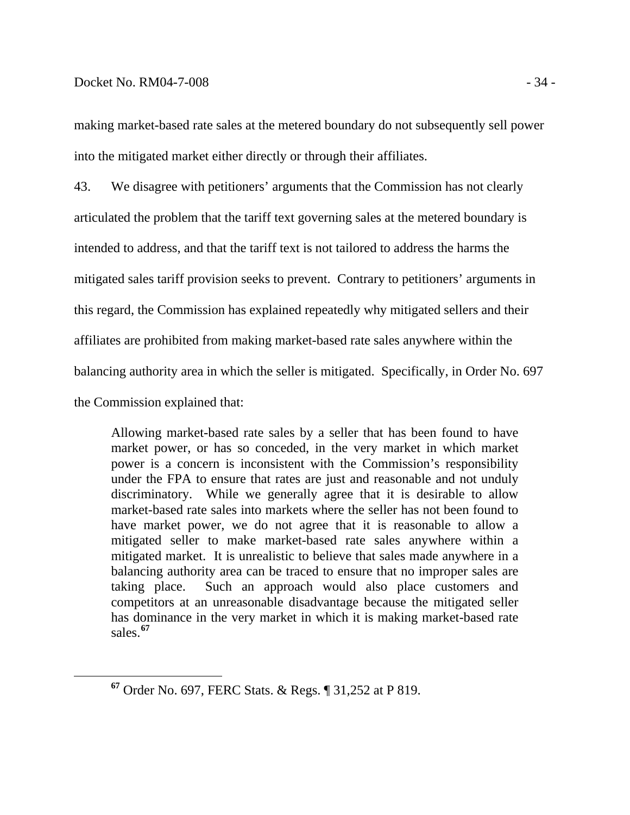<span id="page-36-0"></span>

making market-based rate sales at the metered boundary do not subsequently sell power into the mitigated market either directly or through their affiliates.

43. We disagree with petitioners' arguments that the Commission has not clearly articulated the problem that the tariff text governing sales at the metered boundary is intended to address, and that the tariff text is not tailored to address the harms the mitigated sales tariff provision seeks to prevent. Contrary to petitioners' arguments in this regard, the Commission has explained repeatedly why mitigated sellers and their affiliates are prohibited from making market-based rate sales anywhere within the balancing authority area in which the seller is mitigated. Specifically, in Order No. 697 the Commission explained that:

Allowing market-based rate sales by a seller that has been found to have market power, or has so conceded, in the very market in which market power is a concern is inconsistent with the Commission's responsibility under the FPA to ensure that rates are just and reasonable and not unduly discriminatory. While we generally agree that it is desirable to allow market-based rate sales into markets where the seller has not been found to have market power, we do not agree that it is reasonable to allow a mitigated seller to make market-based rate sales anywhere within a mitigated market. It is unrealistic to believe that sales made anywhere in a balancing authority area can be traced to ensure that no improper sales are taking place. Such an approach would also place customers and competitors at an unreasonable disadvantage because the mitigated seller has dominance in the very market in which it is making market-based rate sales.**[67](#page-36-0)**

**<sup>67</sup>** Order No. 697, FERC Stats. & Regs. ¶ 31,252 at P 819.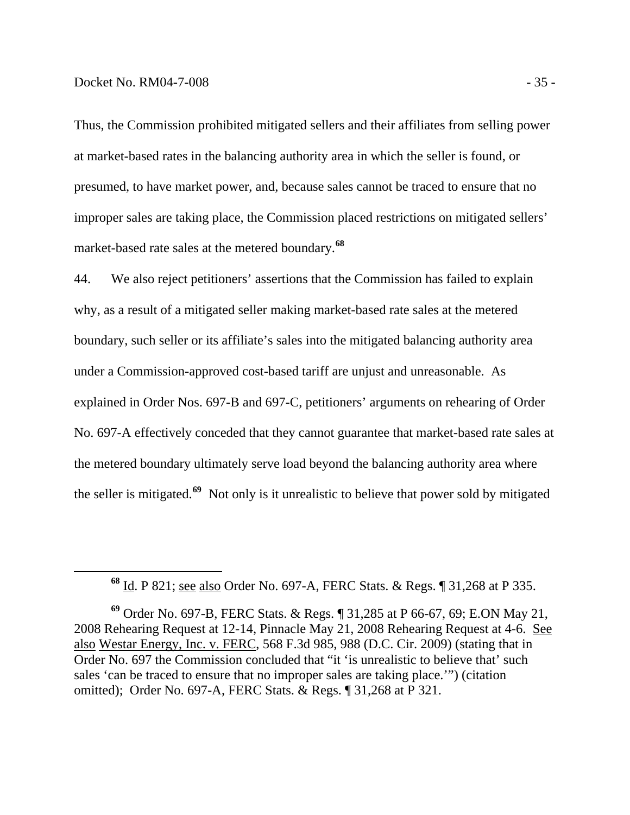<span id="page-37-0"></span>

Thus, the Commission prohibited mitigated sellers and their affiliates from selling power at market-based rates in the balancing authority area in which the seller is found, or presumed, to have market power, and, because sales cannot be traced to ensure that no improper sales are taking place, the Commission placed restrictions on mitigated sellers' market-based rate sales at the metered boundary.**[68](#page-37-0)**

44. We also reject petitioners' assertions that the Commission has failed to explain why, as a result of a mitigated seller making market-based rate sales at the metered boundary, such seller or its affiliate's sales into the mitigated balancing authority area under a Commission-approved cost-based tariff are unjust and unreasonable. As explained in Order Nos. 697-B and 697-C, petitioners' arguments on rehearing of Order No. 697-A effectively conceded that they cannot guarantee that market-based rate sales at the metered boundary ultimately serve load beyond the balancing authority area where the seller is mitigated.**[69](#page-37-1)** Not only is it unrealistic to believe that power sold by mitigated

**<sup>68</sup>** Id. P 821; see also Order No. 697-A, FERC Stats. & Regs. ¶ 31,268 at P 335.

<span id="page-37-1"></span>**<sup>69</sup>** Order No. 697-B, FERC Stats. & Regs. ¶ 31,285 at P 66-67, 69; E.ON May 21, 2008 Rehearing Request at 12-14, Pinnacle May 21, 2008 Rehearing Request at 4-6. See also Westar Energy, Inc. v. FERC, 568 F.3d 985, 988 (D.C. Cir. 2009) (stating that in Order No. 697 the Commission concluded that "it 'is unrealistic to believe that' such sales 'can be traced to ensure that no improper sales are taking place.'") (citation omitted); Order No. 697-A, FERC Stats. & Regs. ¶ 31,268 at P 321.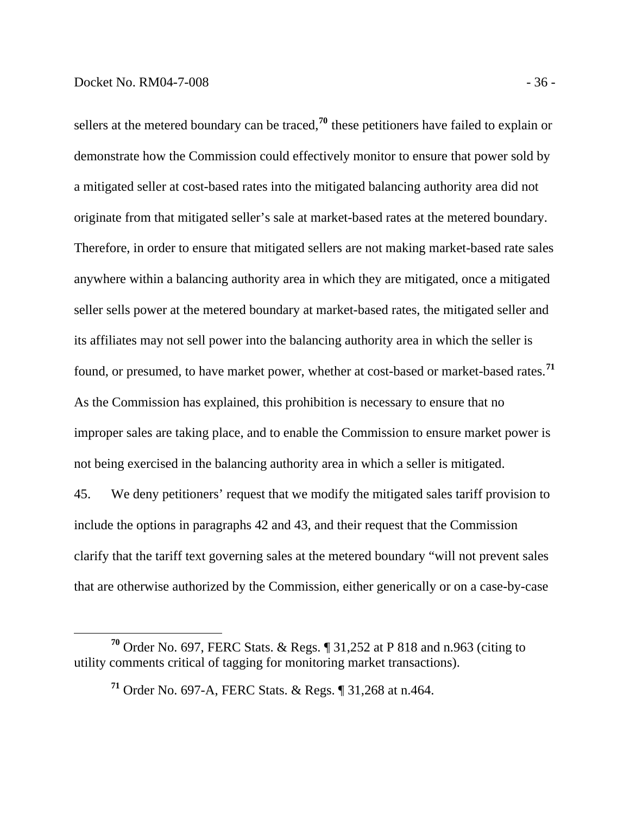$\overline{a}$ 

sellers at the metered boundary can be traced,**<sup>70</sup>** these petitioners have failed to explain or demonstrate how the Commission could effectively monitor to ensure that power sold by a mitigated seller at cost-based rates into the mitigated balancing authority area did not originate from that mitigated seller's sale at market-based rates at the metered boundary. Therefore, in order to ensure that mitigated sellers are not making market-based rate sales anywhere within a balancing authority area in which they are mitigated, once a mitigated seller sells power at the metered boundary at market-based rates, the mitigated seller and its affiliates may not sell power into the balancing authority area in which the seller is found, or presumed, to have market power, whether at cost-based or market-based rates.**<sup>71</sup>** As the Commission has explained, this prohibition is necessary to ensure that no improper sales are taking place, and to enable the Commission to ensure market power is not being exercised in the balancing authority area in which a seller is mitigated.

45. We deny petitioners' request that we modify the mitigated sales tariff provision to include the options in paragraphs 42 and 43, and their request that the Commission clarify that the tariff text governing sales at the metered boundary "will not prevent sales that are otherwise authorized by the Commission, either generically or on a case-by-case

**<sup>70</sup>** Order No. 697, FERC Stats. & Regs. ¶ 31,252 at P 818 and n.963 (citing to utility comments critical of tagging for monitoring market transactions).

**<sup>71</sup>** Order No. 697-A, FERC Stats. & Regs. ¶ 31,268 at n.464.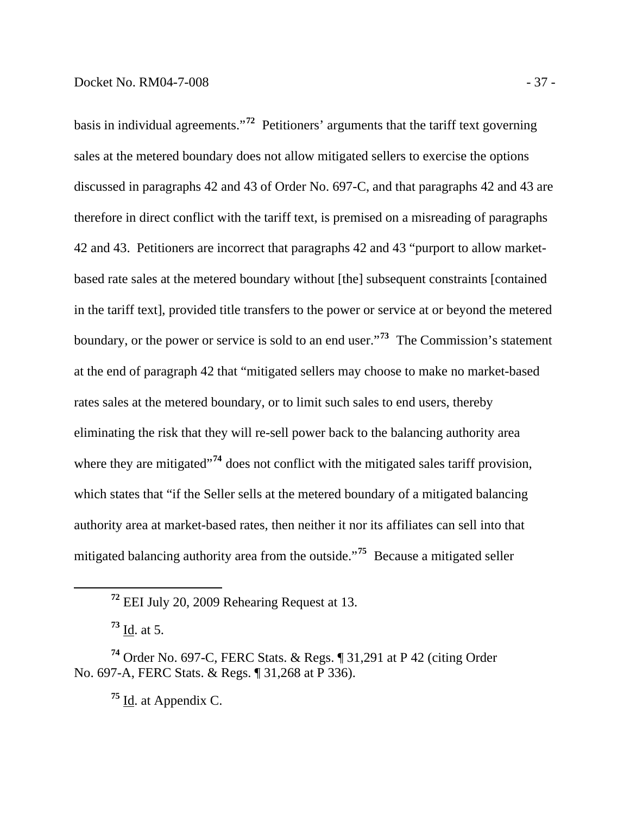basis in individual agreements."**<sup>72</sup>** Petitioners' arguments that the tariff text governing sales at the metered boundary does not allow mitigated sellers to exercise the options discussed in paragraphs 42 and 43 of Order No. 697-C, and that paragraphs 42 and 43 are therefore in direct conflict with the tariff text, is premised on a misreading of paragraphs 42 and 43. Petitioners are incorrect that paragraphs 42 and 43 "purport to allow marketbased rate sales at the metered boundary without [the] subsequent constraints [contained in the tariff text], provided title transfers to the power or service at or beyond the metered boundary, or the power or service is sold to an end user."**<sup>73</sup>** The Commission's statement at the end of paragraph 42 that "mitigated sellers may choose to make no market-based rates sales at the metered boundary, or to limit such sales to end users, thereby eliminating the risk that they will re-sell power back to the balancing authority area where they are mitigated"<sup>74</sup> does not conflict with the mitigated sales tariff provision, which states that "if the Seller sells at the metered boundary of a mitigated balancing authority area at market-based rates, then neither it nor its affiliates can sell into that mitigated balancing authority area from the outside."**<sup>75</sup>** Because a mitigated seller

**<sup>73</sup>** Id. at 5.

 $\overline{a}$ 

**<sup>75</sup>** Id. at Appendix C.

**<sup>72</sup>** EEI July 20, 2009 Rehearing Request at 13.

**<sup>74</sup>** Order No. 697-C, FERC Stats. & Regs. ¶ 31,291 at P 42 (citing Order No. 697-A, FERC Stats. & Regs. ¶ 31,268 at P 336).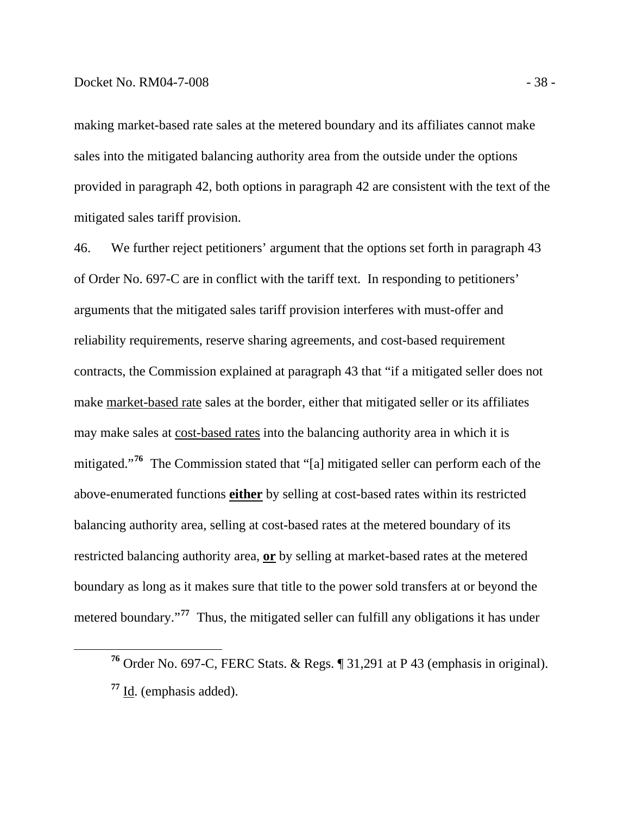making market-based rate sales at the metered boundary and its affiliates cannot make sales into the mitigated balancing authority area from the outside under the options provided in paragraph 42, both options in paragraph 42 are consistent with the text of the mitigated sales tariff provision.

46. We further reject petitioners' argument that the options set forth in paragraph 43 of Order No. 697-C are in conflict with the tariff text. In responding to petitioners' arguments that the mitigated sales tariff provision interferes with must-offer and reliability requirements, reserve sharing agreements, and cost-based requirement contracts, the Commission explained at paragraph 43 that "if a mitigated seller does not make market-based rate sales at the border, either that mitigated seller or its affiliates may make sales at cost-based rates into the balancing authority area in which it is mitigated."**[76](#page-40-0)** The Commission stated that "[a] mitigated seller can perform each of the above-enumerated functions **either** by selling at cost-based rates within its restricted balancing authority area, selling at cost-based rates at the metered boundary of its restricted balancing authority area, **or** by selling at market-based rates at the metered boundary as long as it makes sure that title to the power sold transfers at or beyond the metered boundary."**[77](#page-40-1)** Thus, the mitigated seller can fulfill any obligations it has under

<span id="page-40-1"></span><span id="page-40-0"></span>**<sup>76</sup>** Order No. 697-C, FERC Stats. & Regs. ¶ 31,291 at P 43 (emphasis in original). **<sup>77</sup>** Id. (emphasis added).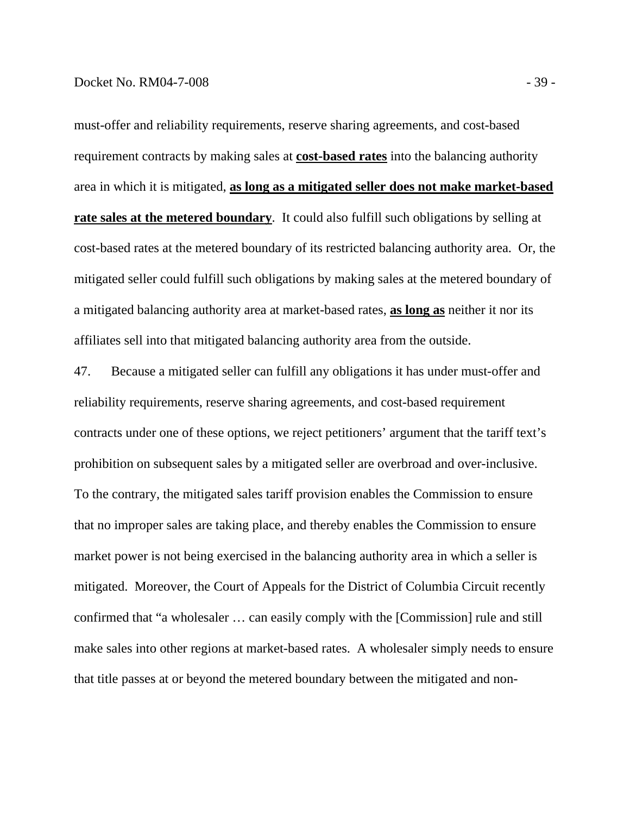must-offer and reliability requirements, reserve sharing agreements, and cost-based requirement contracts by making sales at **cost-based rates** into the balancing authority area in which it is mitigated, **as long as a mitigated seller does not make market-based rate sales at the metered boundary**. It could also fulfill such obligations by selling at cost-based rates at the metered boundary of its restricted balancing authority area. Or, the mitigated seller could fulfill such obligations by making sales at the metered boundary of a mitigated balancing authority area at market-based rates, **as long as** neither it nor its affiliates sell into that mitigated balancing authority area from the outside.

47. Because a mitigated seller can fulfill any obligations it has under must-offer and reliability requirements, reserve sharing agreements, and cost-based requirement contracts under one of these options, we reject petitioners' argument that the tariff text's prohibition on subsequent sales by a mitigated seller are overbroad and over-inclusive. To the contrary, the mitigated sales tariff provision enables the Commission to ensure that no improper sales are taking place, and thereby enables the Commission to ensure market power is not being exercised in the balancing authority area in which a seller is mitigated. Moreover, the Court of Appeals for the District of Columbia Circuit recently confirmed that "a wholesaler … can easily comply with the [Commission] rule and still make sales into other regions at market-based rates. A wholesaler simply needs to ensure that title passes at or beyond the metered boundary between the mitigated and non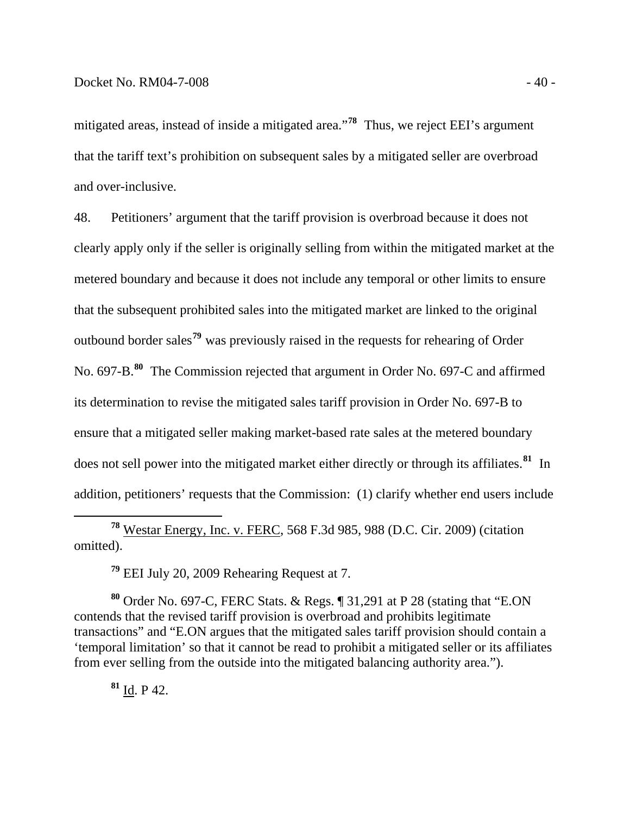mitigated areas, instead of inside a mitigated area."**<sup>78</sup>** Thus, we reject EEI's argument that the tariff text's prohibition on subsequent sales by a mitigated seller are overbroad and over-inclusive.

48. Petitioners' argument that the tariff provision is overbroad because it does not clearly apply only if the seller is originally selling from within the mitigated market at the metered boundary and because it does not include any temporal or other limits to ensure that the subsequent prohibited sales into the mitigated market are linked to the original outbound border sales**[79](#page-42-0)** was previously raised in the requests for rehearing of Order No. 697-B.**[80](#page-42-1)** The Commission rejected that argument in Order No. 697-C and affirmed its determination to revise the mitigated sales tariff provision in Order No. 697-B to ensure that a mitigated seller making market-based rate sales at the metered boundary does not sell power into the mitigated market either directly or through its affiliates.**[81](#page-42-2)** In addition, petitioners' requests that the Commission: (1) clarify whether end users include

**<sup>78</sup>** Westar Energy, Inc. v. FERC, 568 F.3d 985, 988 (D.C. Cir. 2009) (citation omitted).

**<sup>79</sup>** EEI July 20, 2009 Rehearing Request at 7.

<span id="page-42-1"></span><span id="page-42-0"></span>**<sup>80</sup>** Order No. 697-C, FERC Stats. & Regs. ¶ 31,291 at P 28 (stating that "E.ON contends that the revised tariff provision is overbroad and prohibits legitimate transactions" and "E.ON argues that the mitigated sales tariff provision should contain a 'temporal limitation' so that it cannot be read to prohibit a mitigated seller or its affiliates from ever selling from the outside into the mitigated balancing authority area.").

<span id="page-42-2"></span>**<sup>81</sup>** Id. P 42.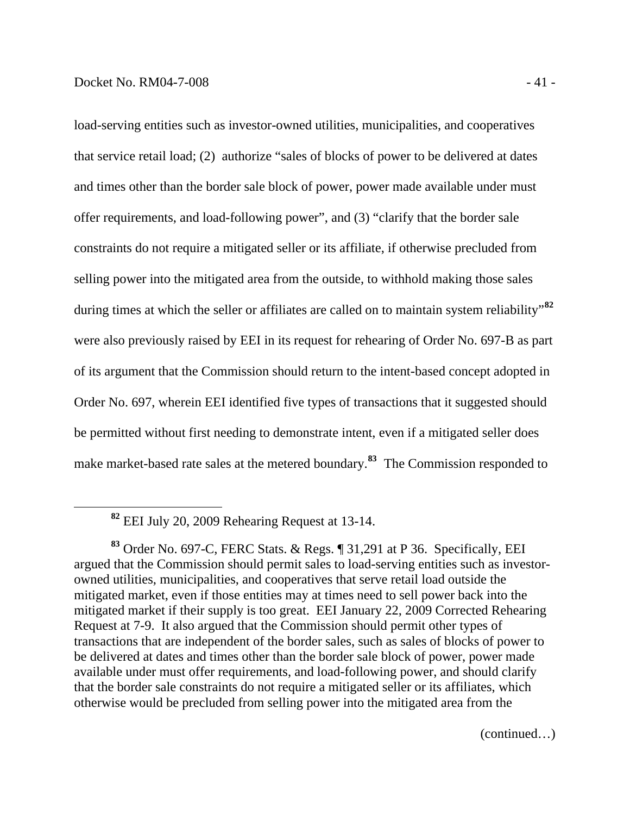$\overline{a}$ 

load-serving entities such as investor-owned utilities, municipalities, and cooperatives that service retail load; (2) authorize "sales of blocks of power to be delivered at dates and times other than the border sale block of power, power made available under must offer requirements, and load-following power", and (3) "clarify that the border sale constraints do not require a mitigated seller or its affiliate, if otherwise precluded from selling power into the mitigated area from the outside, to withhold making those sales during times at which the seller or affiliates are called on to maintain system reliability"**<sup>82</sup>** were also previously raised by EEI in its request for rehearing of Order No. 697-B as part of its argument that the Commission should return to the intent-based concept adopted in Order No. 697, wherein EEI identified five types of transactions that it suggested should be permitted without first needing to demonstrate intent, even if a mitigated seller does make market-based rate sales at the metered boundary.**<sup>83</sup>** The Commission responded to

(continued…)

**<sup>82</sup>** EEI July 20, 2009 Rehearing Request at 13-14.

**<sup>83</sup>** Order No. 697-C, FERC Stats. & Regs. ¶ 31,291 at P 36. Specifically, EEI argued that the Commission should permit sales to load-serving entities such as investorowned utilities, municipalities, and cooperatives that serve retail load outside the mitigated market, even if those entities may at times need to sell power back into the mitigated market if their supply is too great. EEI January 22, 2009 Corrected Rehearing Request at 7-9. It also argued that the Commission should permit other types of transactions that are independent of the border sales, such as sales of blocks of power to be delivered at dates and times other than the border sale block of power, power made available under must offer requirements, and load-following power, and should clarify that the border sale constraints do not require a mitigated seller or its affiliates, which otherwise would be precluded from selling power into the mitigated area from the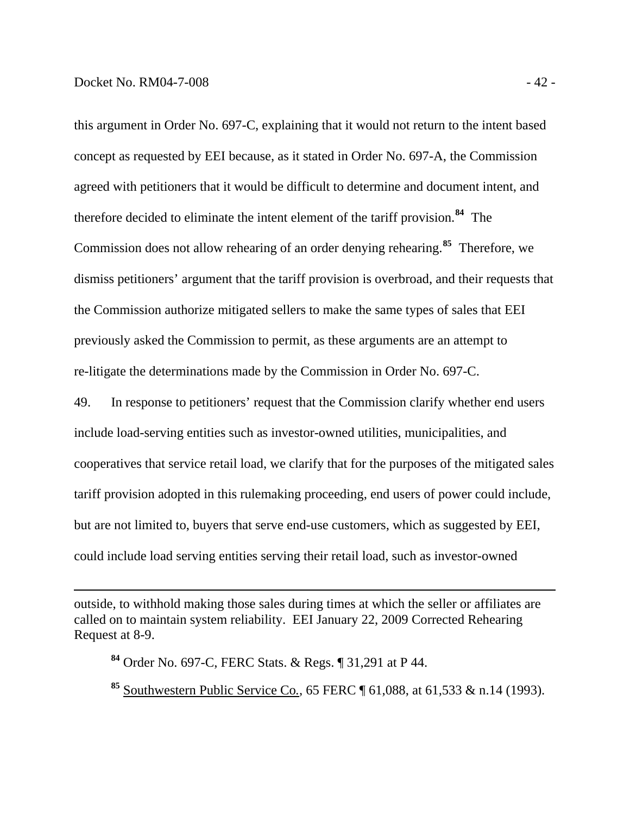$\overline{a}$ 

this argument in Order No. 697-C, explaining that it would not return to the intent based concept as requested by EEI because, as it stated in Order No. 697-A, the Commission agreed with petitioners that it would be difficult to determine and document intent, and therefore decided to eliminate the intent element of the tariff provision.**<sup>84</sup>** The Commission does not allow rehearing of an order denying rehearing.**<sup>85</sup>** Therefore, we dismiss petitioners' argument that the tariff provision is overbroad, and their requests that the Commission authorize mitigated sellers to make the same types of sales that EEI previously asked the Commission to permit, as these arguments are an attempt to re-litigate the determinations made by the Commission in Order No. 697-C.

49. In response to petitioners' request that the Commission clarify whether end users include load-serving entities such as investor-owned utilities, municipalities, and cooperatives that service retail load, we clarify that for the purposes of the mitigated sales tariff provision adopted in this rulemaking proceeding, end users of power could include, but are not limited to, buyers that serve end-use customers, which as suggested by EEI, could include load serving entities serving their retail load, such as investor-owned

outside, to withhold making those sales during times at which the seller or affiliates are called on to maintain system reliability. EEI January 22, 2009 Corrected Rehearing Request at 8-9.

**<sup>84</sup>** Order No. 697-C, FERC Stats. & Regs. ¶ 31,291 at P 44.

**<sup>85</sup>** Southwestern Public Service Co*.*, 65 FERC ¶ 61,088, at 61,533 & n.14 (1993).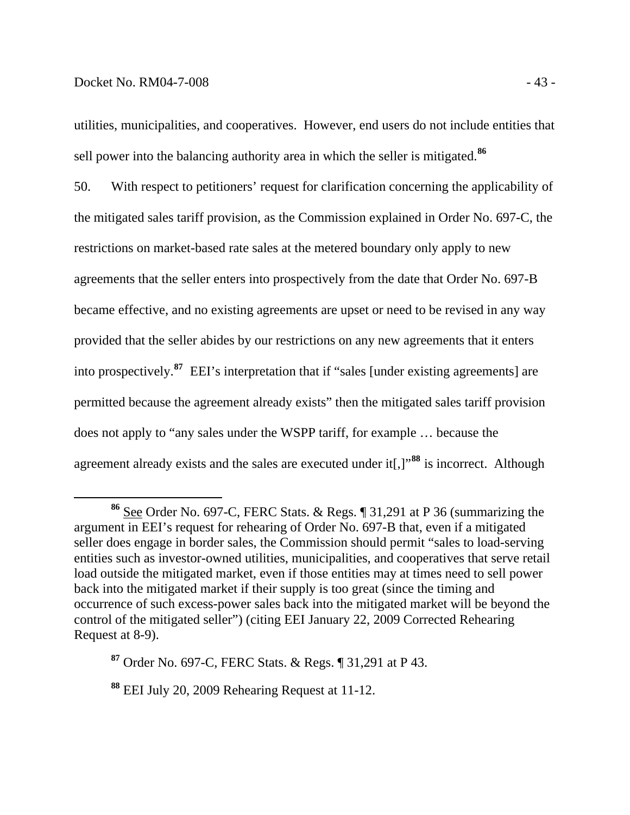#### Docket No. RM04-7-008 - 43 -

 $\overline{a}$ 

utilities, municipalities, and cooperatives. However, end users do not include entities that sell power into the balancing authority area in which the seller is mitigated.**<sup>86</sup>**

50. With respect to petitioners' request for clarification concerning the applicability of the mitigated sales tariff provision, as the Commission explained in Order No. 697-C, the restrictions on market-based rate sales at the metered boundary only apply to new agreements that the seller enters into prospectively from the date that Order No. 697-B became effective, and no existing agreements are upset or need to be revised in any way provided that the seller abides by our restrictions on any new agreements that it enters into prospectively.**[87](#page-45-0)** EEI's interpretation that if "sales [under existing agreements] are permitted because the agreement already exists" then the mitigated sales tariff provision does not apply to "any sales under the WSPP tariff, for example … because the agreement already exists and the sales are executed under it[,]"**[88](#page-45-1)** is incorrect. Although

**<sup>86</sup>** See Order No. 697-C, FERC Stats. & Regs. ¶ 31,291 at P 36 (summarizing the argument in EEI's request for rehearing of Order No. 697-B that, even if a mitigated seller does engage in border sales, the Commission should permit "sales to load-serving entities such as investor-owned utilities, municipalities, and cooperatives that serve retail load outside the mitigated market, even if those entities may at times need to sell power back into the mitigated market if their supply is too great (since the timing and occurrence of such excess-power sales back into the mitigated market will be beyond the control of the mitigated seller") (citing EEI January 22, 2009 Corrected Rehearing Request at 8-9).

<span id="page-45-0"></span>**<sup>87</sup>** Order No. 697-C, FERC Stats. & Regs. ¶ 31,291 at P 43.

<span id="page-45-1"></span>**<sup>88</sup>** EEI July 20, 2009 Rehearing Request at 11-12.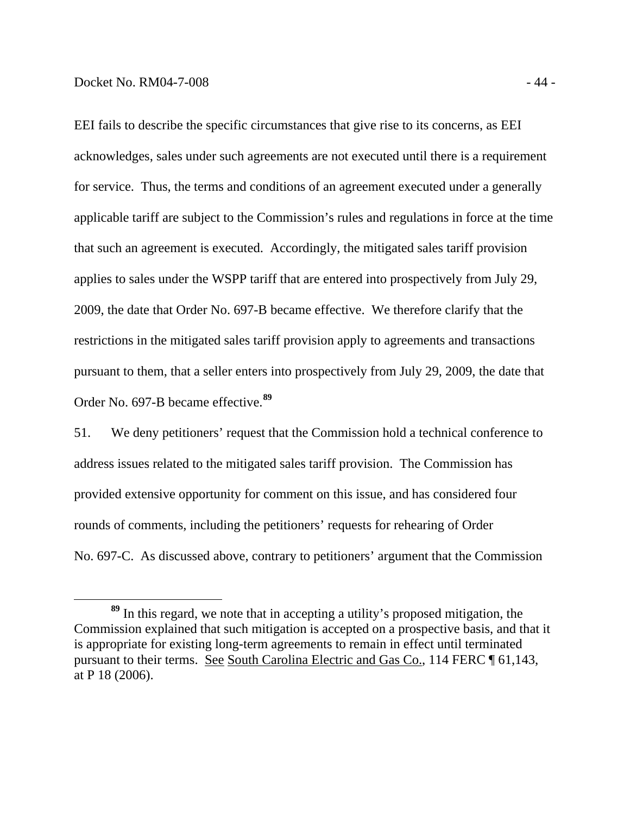EEI fails to describe the specific circumstances that give rise to its concerns, as EEI acknowledges, sales under such agreements are not executed until there is a requirement for service. Thus, the terms and conditions of an agreement executed under a generally applicable tariff are subject to the Commission's rules and regulations in force at the time that such an agreement is executed. Accordingly, the mitigated sales tariff provision applies to sales under the WSPP tariff that are entered into prospectively from July 29, 2009, the date that Order No. 697-B became effective. We therefore clarify that the restrictions in the mitigated sales tariff provision apply to agreements and transactions pursuant to them, that a seller enters into prospectively from July 29, 2009, the date that Order No. 697-B became effective.**<sup>89</sup>**

51. We deny petitioners' request that the Commission hold a technical conference to address issues related to the mitigated sales tariff provision. The Commission has provided extensive opportunity for comment on this issue, and has considered four rounds of comments, including the petitioners' requests for rehearing of Order No. 697-C. As discussed above, contrary to petitioners' argument that the Commission

**<sup>89</sup>** In this regard, we note that in accepting a utility's proposed mitigation, the Commission explained that such mitigation is accepted on a prospective basis, and that it is appropriate for existing long-term agreements to remain in effect until terminated pursuant to their terms. See South Carolina Electric and Gas Co., 114 FERC ¶ 61,143, at P 18 (2006).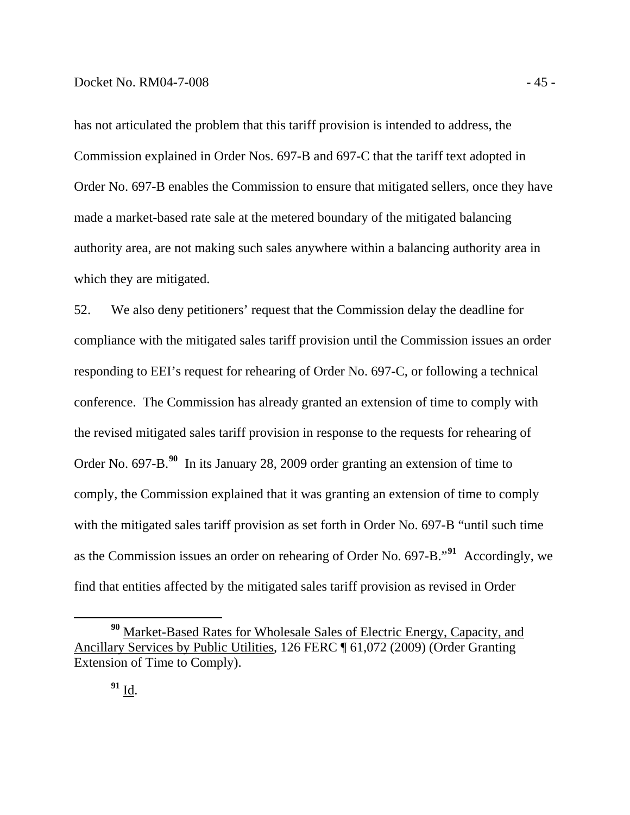has not articulated the problem that this tariff provision is intended to address, the Commission explained in Order Nos. 697-B and 697-C that the tariff text adopted in Order No. 697-B enables the Commission to ensure that mitigated sellers, once they have made a market-based rate sale at the metered boundary of the mitigated balancing authority area, are not making such sales anywhere within a balancing authority area in which they are mitigated.

52. We also deny petitioners' request that the Commission delay the deadline for compliance with the mitigated sales tariff provision until the Commission issues an order responding to EEI's request for rehearing of Order No. 697-C, or following a technical conference. The Commission has already granted an extension of time to comply with the revised mitigated sales tariff provision in response to the requests for rehearing of Order No. 697-B.**[90](#page-47-0)** In its January 28, 2009 order granting an extension of time to comply, the Commission explained that it was granting an extension of time to comply with the mitigated sales tariff provision as set forth in Order No. 697-B "until such time as the Commission issues an order on rehearing of Order No. 697-B."**[91](#page-47-1)** Accordingly, we find that entities affected by the mitigated sales tariff provision as revised in Order

<span id="page-47-1"></span><span id="page-47-0"></span>**<sup>90</sup>** Market-Based Rates for Wholesale Sales of Electric Energy, Capacity, and Ancillary Services by Public Utilities, 126 FERC ¶ 61,072 (2009) (Order Granting Extension of Time to Comply).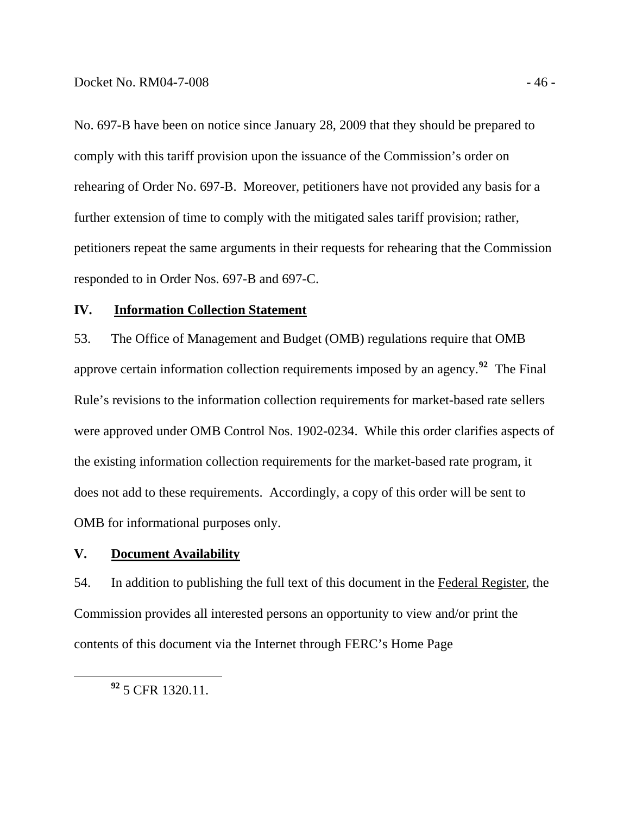No. 697-B have been on notice since January 28, 2009 that they should be prepared to comply with this tariff provision upon the issuance of the Commission's order on rehearing of Order No. 697-B. Moreover, petitioners have not provided any basis for a further extension of time to comply with the mitigated sales tariff provision; rather, petitioners repeat the same arguments in their requests for rehearing that the Commission responded to in Order Nos. 697-B and 697-C.

### <span id="page-48-0"></span>**IV. Information Collection Statement**

53. The Office of Management and Budget (OMB) regulations require that OMB approve certain information collection requirements imposed by an agency.**[92](#page-48-2)** The Final Rule's revisions to the information collection requirements for market-based rate sellers were approved under OMB Control Nos. 1902-0234. While this order clarifies aspects of the existing information collection requirements for the market-based rate program, it does not add to these requirements. Accordingly, a copy of this order will be sent to OMB for informational purposes only.

### <span id="page-48-1"></span>**V. Document Availability**

54. In addition to publishing the full text of this document in the Federal Register, the Commission provides all interested persons an opportunity to view and/or print the contents of this document via the Internet through FERC's Home Page

<span id="page-48-2"></span>**<sup>92</sup>** 5 CFR 1320.11.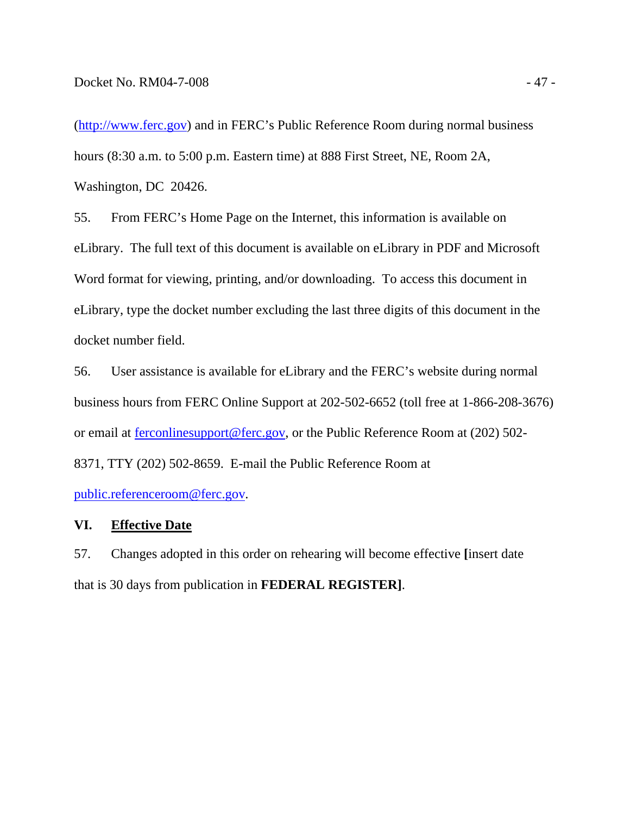(http://www.ferc.gov) and in FERC's Public Reference Room during normal business hours (8:30 a.m. to 5:00 p.m. Eastern time) at 888 First Street, NE, Room 2A, Washington, DC 20426.

55. From FERC's Home Page on the Internet, this information is available on eLibrary. The full text of this document is available on eLibrary in PDF and Microsoft Word format for viewing, printing, and/or downloading. To access this document in eLibrary, type the docket number excluding the last three digits of this document in the docket number field.

56. User assistance is available for eLibrary and the FERC's website during normal business hours from FERC Online Support at 202-502-6652 (toll free at 1-866-208-3676) or email at [ferconlinesupport@ferc.gov](mailto:ferconlinesupport@ferc.gov), or the Public Reference Room at (202) 502- 8371, TTY (202) 502-8659. E-mail the Public Reference Room at

[public.referenceroom@ferc.gov](mailto:public.referenceroom@ferc.gov).

# <span id="page-49-0"></span>**VI. Effective Date**

57. Changes adopted in this order on rehearing will become effective **[**insert date that is 30 days from publication in **FEDERAL REGISTER]**.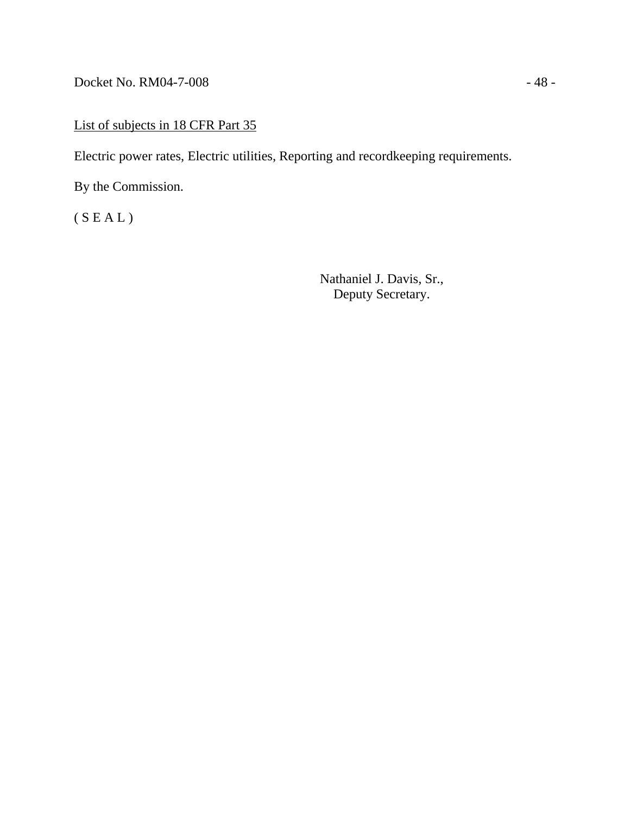# List of subjects in 18 CFR Part 35

Electric power rates, Electric utilities, Reporting and recordkeeping requirements.

By the Commission.

 $(S E A L)$ 

Nathaniel J. Davis, Sr., Deputy Secretary.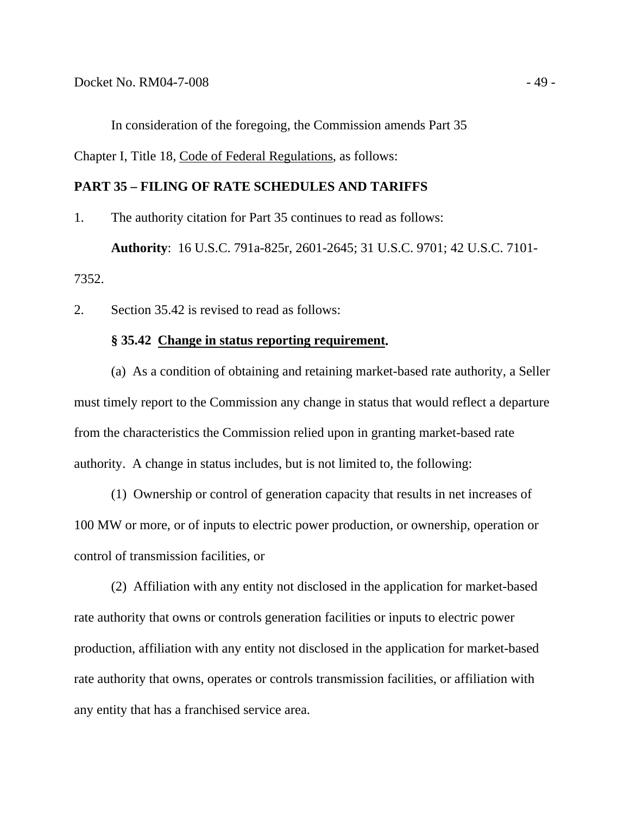In consideration of the foregoing, the Commission amends Part 35

Chapter I, Title 18, Code of Federal Regulations, as follows:

## **PART 35 – FILING OF RATE SCHEDULES AND TARIFFS**

1. The authority citation for Part 35 continues to read as follows:

**Authority**: 16 U.S.C. 791a-825r, 2601-2645; 31 U.S.C. 9701; 42 U.S.C. 7101- 7352.

2. Section 35.42 is revised to read as follows:

### **§ 35.42 Change in status reporting requirement.**

 (a) As a condition of obtaining and retaining market-based rate authority, a Seller must timely report to the Commission any change in status that would reflect a departure from the characteristics the Commission relied upon in granting market-based rate authority. A change in status includes, but is not limited to, the following:

 (1) Ownership or control of generation capacity that results in net increases of 100 MW or more, or of inputs to electric power production, or ownership, operation or control of transmission facilities, or

 (2) Affiliation with any entity not disclosed in the application for market-based rate authority that owns or controls generation facilities or inputs to electric power production, affiliation with any entity not disclosed in the application for market-based rate authority that owns, operates or controls transmission facilities, or affiliation with any entity that has a franchised service area.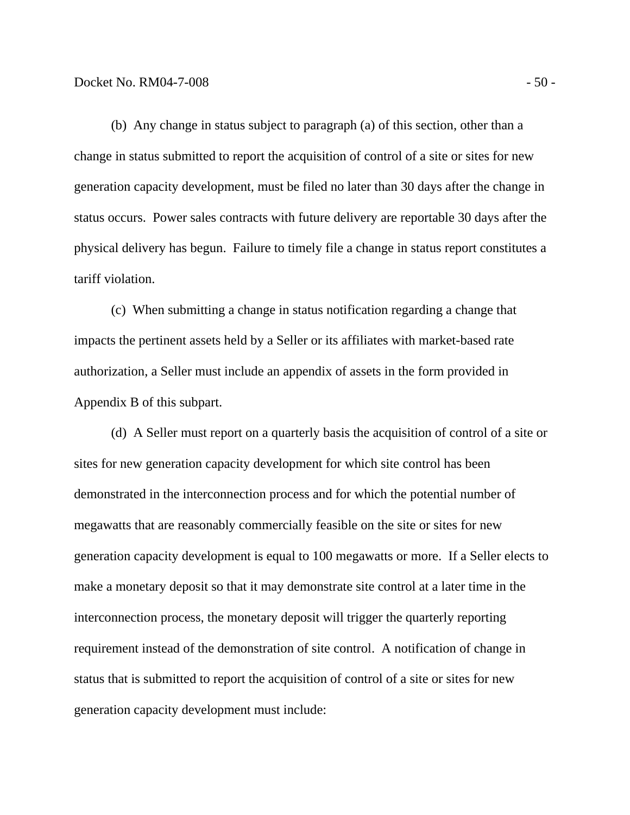(b) Any change in status subject to paragraph (a) of this section, other than a change in status submitted to report the acquisition of control of a site or sites for new generation capacity development, must be filed no later than 30 days after the change in status occurs. Power sales contracts with future delivery are reportable 30 days after the physical delivery has begun. Failure to timely file a change in status report constitutes a tariff violation.

 (c) When submitting a change in status notification regarding a change that impacts the pertinent assets held by a Seller or its affiliates with market-based rate authorization, a Seller must include an appendix of assets in the form provided in Appendix B of this subpart.

 (d) A Seller must report on a quarterly basis the acquisition of control of a site or sites for new generation capacity development for which site control has been demonstrated in the interconnection process and for which the potential number of megawatts that are reasonably commercially feasible on the site or sites for new generation capacity development is equal to 100 megawatts or more. If a Seller elects to make a monetary deposit so that it may demonstrate site control at a later time in the interconnection process, the monetary deposit will trigger the quarterly reporting requirement instead of the demonstration of site control. A notification of change in status that is submitted to report the acquisition of control of a site or sites for new generation capacity development must include: